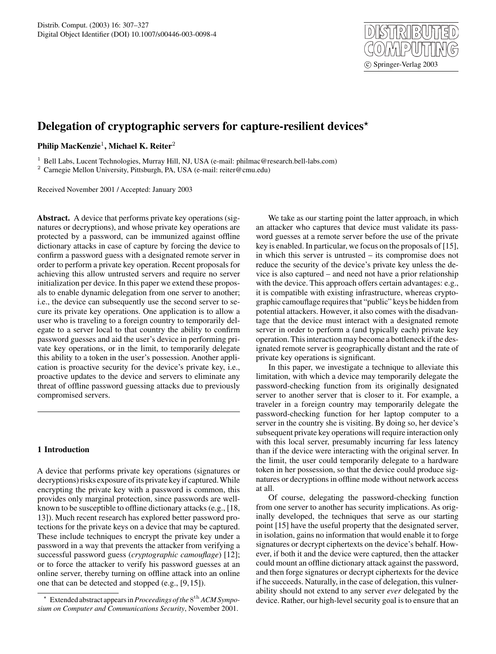# **Delegation of cryptographic servers for capture-resilient devices**

**Philip MacKenzie**1**, Michael K. Reiter**<sup>2</sup>

<sup>1</sup> Bell Labs, Lucent Technologies, Murray Hill, NJ, USA (e-mail: philmac@research.bell-labs.com) <sup>2</sup> Carnegie Mellon University, Pittsburgh, PA, USA (e-mail: reiter@cmu.edu)

Received November 2001 / Accepted: January 2003

**Abstract.** A device that performs private key operations (signatures or decryptions), and whose private key operations are protected by a password, can be immunized against offline dictionary attacks in case of capture by forcing the device to confirm a password guess with a designated remote server in order to perform a private key operation. Recent proposals for achieving this allow untrusted servers and require no server initialization per device. In this paper we extend these proposals to enable dynamic delegation from one server to another; i.e., the device can subsequently use the second server to secure its private key operations. One application is to allow a user who is traveling to a foreign country to temporarily delegate to a server local to that country the ability to confirm password guesses and aid the user's device in performing private key operations, or in the limit, to temporarily delegate this ability to a token in the user's possession. Another application is proactive security for the device's private key, i.e., proactive updates to the device and servers to eliminate any threat of offline password guessing attacks due to previously compromised servers.

# **1 Introduction**

A device that performs private key operations (signatures or decryptions) risks exposure of its private key if captured.While encrypting the private key with a password is common, this provides only marginal protection, since passwords are wellknown to be susceptible to offline dictionary attacks (e.g., [18, 13]). Much recent research has explored better password protections for the private keys on a device that may be captured. These include techniques to encrypt the private key under a password in a way that prevents the attacker from verifying a successful password guess (*cryptographic camouflage*) [12]; or to force the attacker to verify his password guesses at an online server, thereby turning on offline attack into an online one that can be detected and stopped (e.g., [9,15]).

We take as our starting point the latter approach, in which an attacker who captures that device must validate its password guesses at a remote server before the use of the private key is enabled. In particular, we focus on the proposals of [15], in which this server is untrusted – its compromise does not reduce the security of the device's private key unless the device is also captured – and need not have a prior relationship with the device. This approach offers certain advantages: e.g., it is compatible with existing infrastructure, whereas cryptographic camouflage requires that "public" keys be hidden from potential attackers. However, it also comes with the disadvantage that the device must interact with a designated remote server in order to perform a (and typically each) private key operation. This interaction may become a bottleneck if the designated remote server is geographically distant and the rate of private key operations is significant.

In this paper, we investigate a technique to alleviate this limitation, with which a device may temporarily delegate the password-checking function from its originally designated server to another server that is closer to it. For example, a traveler in a foreign country may temporarily delegate the password-checking function for her laptop computer to a server in the country she is visiting. By doing so, her device's subsequent private key operations will require interaction only with this local server, presumably incurring far less latency than if the device were interacting with the original server. In the limit, the user could temporarily delegate to a hardware token in her possession, so that the device could produce signatures or decryptions in offline mode without network access at all.

Of course, delegating the password-checking function from one server to another has security implications. As originally developed, the techniques that serve as our starting point [15] have the useful property that the designated server, in isolation, gains no information that would enable it to forge signatures or decrypt ciphertexts on the device's behalf. However, if both it and the device were captured, then the attacker could mount an offline dictionary attack against the password, and then forge signatures or decrypt ciphertexts for the device if he succeeds. Naturally, in the case of delegation, this vulnerability should not extend to any server *ever* delegated by the device. Rather, our high-level security goal is to ensure that an

<sup>\*</sup> Extended abstract appears in *Proceedings of the*  $8<sup>th</sup> ACM Sympo$ *sium on Computer and Communications Security*, November 2001.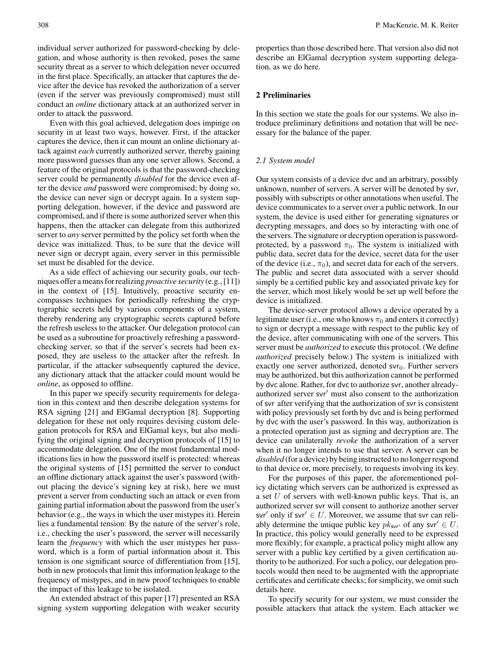individual server authorized for password-checking by delegation, and whose authority is then revoked, poses the same security threat as a server to which delegation never occurred in the first place. Specifically, an attacker that captures the device after the device has revoked the authorization of a server (even if the server was previously compromised) must still conduct an *online* dictionary attack at an authorized server in order to attack the password.

Even with this goal achieved, delegation does impinge on security in at least two ways, however. First, if the attacker captures the device, then it can mount an online dictionary attack against *each* currently authorized server, thereby gaining more password guesses than any one server allows. Second, a feature of the original protocols is that the password-checking server could be permanently *disabled* for the device even after the device *and* password were compromised; by doing so, the device can never sign or decrypt again. In a system supporting delegation, however, if the device and password are compromised, and if there is some authorized server when this happens, then the attacker can delegate from this authorized server to *any* server permitted by the policy set forth when the device was initialized. Thus, to be sure that the device will never sign or decrypt again, every server in this permissible set must be disabled for the device.

As a side effect of achieving our security goals, our techniques offer a means for realizing *proactive security* (e.g., [11]) in the context of [15]. Intuitively, proactive security encompasses techniques for periodically refreshing the cryptographic secrets held by various components of a system, thereby rendering any cryptographic secrets captured before the refresh useless to the attacker. Our delegation protocol can be used as a subroutine for proactively refreshing a passwordchecking server, so that if the server's secrets had been exposed, they are useless to the attacker after the refresh. In particular, if the attacker subsequently captured the device, any dictionary attack that the attacker could mount would be *online*, as opposed to offline.

In this paper we specify security requirements for delegation in this context and then describe delegation systems for RSA signing [21] and ElGamal decryption [8]. Supporting delegation for these not only requires devising custom delegation protocols for RSA and ElGamal keys, but also modifying the original signing and decryption protocols of [15] to accommodate delegation. One of the most fundamental modifications lies in how the password itself is protected: whereas the original systems of [15] permitted the server to conduct an offline dictionary attack against the user's password (without placing the device's signing key at risk), here we must prevent a server from conducting such an attack or even from gaining partial information about the password from the user's behavior (e.g., the ways in which the user mistypes it). Herein lies a fundamental tension: By the nature of the server's role, i.e., checking the user's password, the server will necessarily learn the *frequency* with which the user mistypes her password, which is a form of partial information about it. This tension is one significant source of differentiation from [15], both in new protocols that limit this information leakage to the frequency of mistypes, and in new proof techniques to enable the impact of this leakage to be isolated.

An extended abstract of this paper [17] presented an RSA signing system supporting delegation with weaker security

properties than those described here. That version also did not describe an ElGamal decryption system supporting delegation, as we do here.

#### **2 Preliminaries**

In this section we state the goals for our systems. We also introduce preliminary definitions and notation that will be necessary for the balance of the paper.

#### *2.1 System model*

Our system consists of a device dvc and an arbitrary, possibly unknown, number of servers. A server will be denoted by svr, possibly with subscripts or other annotations when useful. The device communicates to a server over a public network. In our system, the device is used either for generating signatures or decrypting messages, and does so by interacting with one of the servers. The signature or decryption operation is passwordprotected, by a password  $\pi_0$ . The system is initialized with public data, secret data for the device, secret data for the user of the device (i.e.,  $\pi_0$ ), and secret data for each of the servers. The public and secret data associated with a server should simply be a certified public key and associated private key for the server, which most likely would be set up well before the device is initialized.

The device-server protocol allows a device operated by a legitimate user (i.e., one who knows  $\pi_0$  and enters it correctly) to sign or decrypt a message with respect to the public key of the device, after communicating with one of the servers. This server must be *authorized* to execute this protocol. (We define *authorized* precisely below.) The system is initialized with exactly one server authorized, denoted  $svr_0$ . Further servers may be authorized, but this authorization cannot be performed by dvc alone. Rather, for dvc to authorize svr, another alreadyauthorized server svr' must also consent to the authorization of svr after verifying that the authorization of svr is consistent with policy previously set forth by dvc and is being performed by dvc with the user's password. In this way, authorization is a protected operation just as signing and decryption are. The device can unilaterally *revoke* the authorization of a server when it no longer intends to use that server. A server can be *disabled* (for a device) by being instructed to no longer respond to that device or, more precisely, to requests involving its key.

For the purposes of this paper, the aforementioned policy dictating which servers can be authorized is expressed as a set U of servers with well-known public keys. That is, an authorized server svr will consent to authorize another server svr' only if svr'  $\in U$ . Moreover, we assume that svr can reliably determine the unique public key  $pk_{\text{svr'}}$  of any svr'  $\in U$ . In practice, this policy would generally need to be expressed more flexibly; for example, a practical policy might allow any server with a public key certified by a given certification authority to be authorized. For such a policy, our delegation protocols would then need to be augmented with the appropriate certificates and certificate checks; for simplicity, we omit such details here.

To specify security for our system, we must consider the possible attackers that attack the system. Each attacker we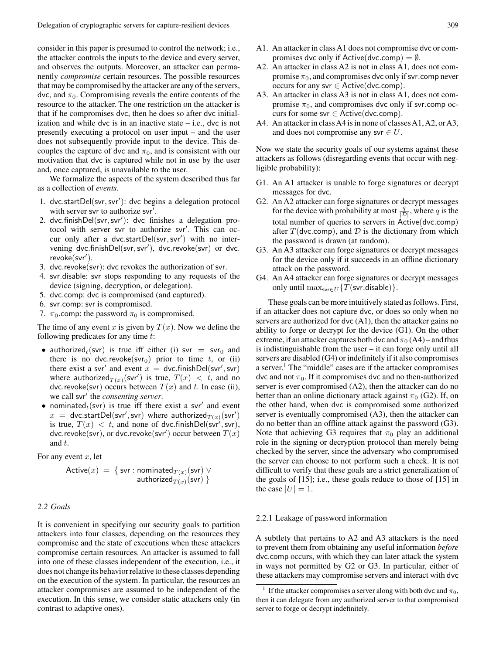consider in this paper is presumed to control the network; i.e., the attacker controls the inputs to the device and every server, and observes the outputs. Moreover, an attacker can permanently *compromise* certain resources. The possible resources that may be compromised by the attacker are any of the servers, dvc, and  $\pi_0$ . Compromising reveals the entire contents of the resource to the attacker. The one restriction on the attacker is that if he compromises dvc, then he does so after dvc initialization and while dvc is in an inactive state  $-$  i.e., dvc is not presently executing a protocol on user input – and the user does not subsequently provide input to the device. This decouples the capture of dvc and  $\pi_0$ , and is consistent with our motivation that dvc is captured while not in use by the user and, once captured, is unavailable to the user.

We formalize the aspects of the system described thus far as a collection of *events*.

- 1. dvc.startDel(svr,svr ): dvc begins a delegation protocol with server svr to authorize svr .
- 2. dvc.finishDel(svr,svr ): dvc finishes a delegation protocol with server svr to authorize svr . This can occur only after a dvc.startDel(svr, svr') with no intervening dvc.finishDel(svr, svr'), dvc.revoke(svr) or dvc. revoke(svr ).
- 3. dvc.revoke(svr): dvc revokes the authorization of svr.
- 4. svr.disable: svr stops responding to any requests of the device (signing, decryption, or delegation).
- 5. dvc.comp: dvc is compromised (and captured).
- 6. svr.comp: svr is compromised.
- 7.  $\pi_0$  comp: the password  $\pi_0$  is compromised.

The time of any event x is given by  $T(x)$ . Now we define the following predicates for any time  $t$ :

- authorized<sub>t</sub>(svr) is true iff either (i) svr = svr<sub>0</sub> and there is no dvc.revoke(svr<sub>0</sub>) prior to time t, or (ii) there exist a svr' and event  $x =$  dvc.finishDel(svr', svr) where authorized $T(x)$ (svr') is true,  $T(x) < t$ , and no dvc.revoke(svr) occurs between  $T(x)$  and t. In case (ii), we call svr' the *consenting server*.
- nominated<sub>t</sub>(svr) is true iff there exist a svr' and event  $x =$  dvc.start $\tilde{\rm Del}({\sf svr}',{\sf svr})$  where authorized $_{T(x)}({\sf svr}')$ is true,  $T(x) < t$ , and none of dvc.finishDel(svr', svr), dvc.revoke(svr), or dvc.revoke(svr') occur between  $\overline{T(x)}$ and t.

For any event  $x$ , let

$$
Active(x) = { sur : noninated_{T(x)}(svr) \veeauthorized_{T(x)}(svr) }
$$

# *2.2 Goals*

It is convenient in specifying our security goals to partition attackers into four classes, depending on the resources they compromise and the state of executions when these attackers compromise certain resources. An attacker is assumed to fall into one of these classes independent of the execution, i.e., it does not change its behavior relative to these classes depending on the execution of the system. In particular, the resources an attacker compromises are assumed to be independent of the execution. In this sense, we consider static attackers only (in contrast to adaptive ones).

- A1. An attacker in class A1 does not compromise dvc or compromises dvc only if Active(dvc.comp) =  $\emptyset$ .
- A2. An attacker in class A2 is not in class A1, does not compromise  $\pi_0$ , and compromises dvc only if svr.comp never occurs for any svr  $\in$  Active(dvc.comp).
- A3. An attacker in class A3 is not in class A1, does not compromise  $\pi_0$ , and compromises dvc only if svr.comp occurs for some svr  $\in$  Active(dvc.comp).
- A4. An attacker in class A4 is in none of classes A1, A2, or A3, and does not compromise any svr  $\in U$ .

Now we state the security goals of our systems against these attackers as follows (disregarding events that occur with negligible probability):

- G1. An A1 attacker is unable to forge signatures or decrypt messages for dvc.
- G2. An A2 attacker can forge signatures or decrypt messages for the device with probability at most  $\frac{q}{|D|}$ , where q is the total number of queries to servers in Active(dvc.comp) after  $T$ (dvc.comp), and  $D$  is the dictionary from which the password is drawn (at random).
- G3. An A3 attacker can forge signatures or decrypt messages for the device only if it succeeds in an offline dictionary attack on the password.
- G4. An A4 attacker can forge signatures or decrypt messages only until  $\max_{\mathsf{svr} \in U} \{T(\mathsf{svr}.\mathsf{disable})\}.$

These goals can be more intuitively stated as follows. First, if an attacker does not capture dvc, or does so only when no servers are authorized for dvc (A1), then the attacker gains no ability to forge or decrypt for the device (G1). On the other extreme, if an attacker captures both dvc and  $\pi_0(A4)$  – and thus is indistinguishable from the user – it can forge only until all servers are disabled (G4) or indefinitely if it also compromises a server.<sup>1</sup> The "middle" cases are if the attacker compromises dvc and not  $\pi_0$ . If it compromises dvc and no then-authorized server is ever compromised (A2), then the attacker can do no better than an online dictionary attack against  $\pi_0$  (G2). If, on the other hand, when dvc is compromised some authorized server is eventually compromised (A3), then the attacker can do no better than an offline attack against the password (G3). Note that achieving G3 requires that  $\pi_0$  play an additional role in the signing or decryption protocol than merely being checked by the server, since the adversary who compromised the server can choose to not perform such a check. It is not difficult to verify that these goals are a strict generalization of the goals of [15]; i.e., these goals reduce to those of [15] in the case  $|U| = 1$ .

#### 2.2.1 Leakage of password information

A subtlety that pertains to A2 and A3 attackers is the need to prevent them from obtaining any useful information *before* dvc.comp occurs, with which they can later attack the system in ways not permitted by G2 or G3. In particular, either of these attackers may compromise servers and interact with dvc

<sup>&</sup>lt;sup>1</sup> If the attacker compromises a server along with both dvc and  $\pi_0$ , then it can delegate from any authorized server to that compromised server to forge or decrypt indefinitely.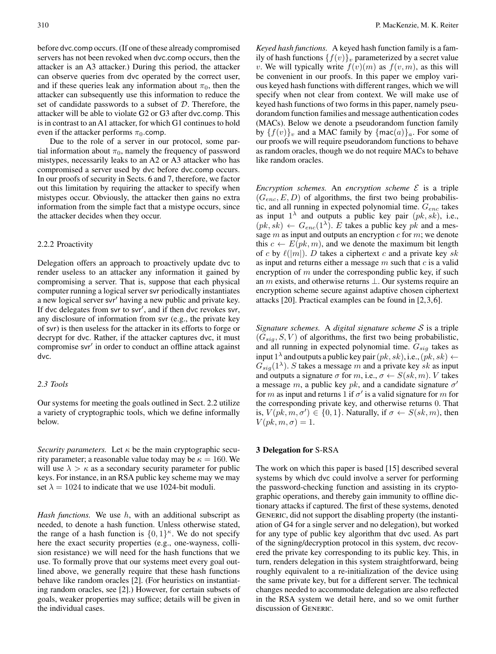before dvc.comp occurs. (If one of these already compromised servers has not been revoked when dvc.comp occurs, then the attacker is an A3 attacker.) During this period, the attacker can observe queries from dvc operated by the correct user, and if these queries leak any information about  $\pi_0$ , then the attacker can subsequently use this information to reduce the set of candidate passwords to a subset of  $D$ . Therefore, the attacker will be able to violate G2 or G3 after dvc.comp. This is in contrast to an A1 attacker, for which G1 continues to hold even if the attacker performs  $\pi_0$ .comp.

Due to the role of a server in our protocol, some partial information about  $\pi_0$ , namely the frequency of password mistypes, necessarily leaks to an A2 or A3 attacker who has compromised a server used by dvc before dvc.comp occurs. In our proofs of security in Sects. 6 and 7, therefore, we factor out this limitation by requiring the attacker to specify when mistypes occur. Obviously, the attacker then gains no extra information from the simple fact that a mistype occurs, since the attacker decides when they occur.

# 2.2.2 Proactivity

Delegation offers an approach to proactively update dvc to render useless to an attacker any information it gained by compromising a server. That is, suppose that each physical computer running a logical server svr periodically instantiates a new logical server svr' having a new public and private key. If dvc delegates from svr to svr , and if then dvc revokes svr, any disclosure of information from svr (e.g., the private key of svr) is then useless for the attacker in its efforts to forge or decrypt for dvc. Rather, if the attacker captures dvc, it must compromise svr' in order to conduct an offline attack against dvc.

## *2.3 Tools*

Our systems for meeting the goals outlined in Sect. 2.2 utilize a variety of cryptographic tools, which we define informally below.

*Security parameters.* Let  $\kappa$  be the main cryptographic security parameter; a reasonable value today may be  $\kappa = 160$ . We will use  $\lambda > \kappa$  as a secondary security parameter for public keys. For instance, in an RSA public key scheme may we may set  $\lambda = 1024$  to indicate that we use 1024-bit moduli.

*Hash functions.* We use  $h$ , with an additional subscript as needed, to denote a hash function. Unless otherwise stated, the range of a hash function is  $\{0,1\}^{\kappa}$ . We do not specify here the exact security properties (e.g., one-wayness, collision resistance) we will need for the hash functions that we use. To formally prove that our systems meet every goal outlined above, we generally require that these hash functions behave like random oracles [2]. (For heuristics on instantiating random oracles, see [2].) However, for certain subsets of goals, weaker properties may suffice; details will be given in the individual cases.

*Keyed hash functions.* A keyed hash function family is a family of hash functions  ${f(v)}_v$  parameterized by a secret value v. We will typically write  $f(v)(m)$  as  $f(v, m)$ , as this will be convenient in our proofs. In this paper we employ various keyed hash functions with different ranges, which we will specify when not clear from context. We will make use of keyed hash functions of two forms in this paper, namely pseudorandom function families and message authentication codes (MACs). Below we denote a pseudorandom function family by  ${f(v)}_v$  and a MAC family by  ${\{ {\text{mac}(a) } \}}_a$ . For some of our proofs we will require pseudorandom functions to behave as random oracles, though we do not require MACs to behave like random oracles.

*Encryption schemes.* An *encryption scheme*  $\mathcal{E}$  is a triple  $(G_{enc}, E, D)$  of algorithms, the first two being probabilistic, and all running in expected polynomial time.  $G_{enc}$  takes as input  $1^{\lambda}$  and outputs a public key pair  $(pk, sk)$ , i.e.,  $(pk, sk) \leftarrow G_{enc}(1^{\lambda})$ . E takes a public key pk and a message  $m$  as input and outputs an encryption  $c$  for  $m$ ; we denote this  $c \leftarrow E(pk, m)$ , and we denote the maximum bit length of c by  $\ell(|m|)$ . D takes a ciphertext c and a private key sk as input and returns either a message  $m$  such that  $c$  is a valid encryption of  $m$  under the corresponding public key, if such an m exists, and otherwise returns  $\bot$ . Our systems require an encryption scheme secure against adaptive chosen ciphertext attacks [20]. Practical examples can be found in [2,3,6].

*Signature schemes.* A *digital signature scheme* S is a triple  $(G_{sig}, S, V)$  of algorithms, the first two being probabilistic, and all running in expected polynomial time.  $G_{sig}$  takes as input 1<sup> $\lambda$ </sup> and outputs a public key pair  $(pk, sk)$ , i.e.,  $(pk, sk) \leftarrow$  $G_{sig}(1^{\lambda})$ . S takes a message m and a private key sk as input and outputs a signature  $\sigma$  for  $m$ , i.e.,  $\sigma \leftarrow S(sk, m)$ . V takes a message m, a public key pk, and a candidate signature  $\sigma'$ for m as input and returns 1 if  $\sigma'$  is a valid signature for m for the corresponding private key, and otherwise returns 0. That is,  $V(pk, m, \sigma') \in \{0, 1\}$ . Naturally, if  $\sigma \leftarrow S(sk, m)$ , then  $V(pk, m, \sigma)=1.$ 

#### **3 Delegation for** S-RSA

The work on which this paper is based [15] described several systems by which dvc could involve a server for performing the password-checking function and assisting in its cryptographic operations, and thereby gain immunity to offline dictionary attacks if captured. The first of these systems, denoted GENERIC, did not support the disabling property (the instantiation of G4 for a single server and no delegation), but worked for any type of public key algorithm that dvc used. As part of the signing/decryption protocol in this system, dvc recovered the private key corresponding to its public key. This, in turn, renders delegation in this system straightforward, being roughly equivalent to a re-initialization of the device using the same private key, but for a different server. The technical changes needed to accommodate delegation are also reflected in the RSA system we detail here, and so we omit further discussion of Generic.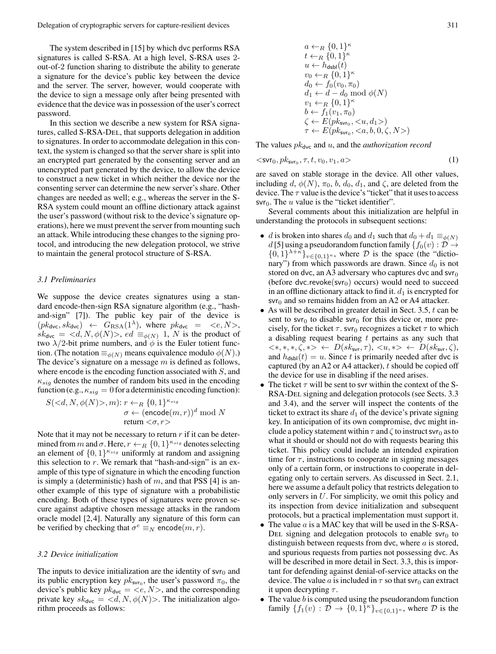The system described in [15] by which dvc performs RSA signatures is called S-RSA. At a high level, S-RSA uses 2 out-of-2 function sharing to distribute the ability to generate a signature for the device's public key between the device and the server. The server, however, would cooperate with the device to sign a message only after being presented with evidence that the device was in possession of the user's correct password.

In this section we describe a new system for RSA signatures, called S-RSA-Del, that supports delegation in addition to signatures. In order to accommodate delegation in this context, the system is changed so that the server share is split into an encrypted part generated by the consenting server and an unencrypted part generated by the device, to allow the device to construct a new ticket in which neither the device nor the consenting server can determine the new server's share. Other changes are needed as well; e.g., whereas the server in the S-RSA system could mount an offline dictionary attack against the user's password (without risk to the device's signature operations), here we must prevent the server from mounting such an attack. While introducing these changes to the signing protocol, and introducing the new delegation protocol, we strive to maintain the general protocol structure of S-RSA.

## *3.1 Preliminaries*

We suppose the device creates signatures using a standard encode-then-sign RSA signature algorithm (e.g., "hashand-sign" [7]). The public key pair of the device is  $(pk_{\text{dvc}}, sk_{\text{dvc}}) \leftarrow G_{\text{RSA}}(1^{\lambda}), \text{ where } pk_{\text{dvc}} = \langle e, N \rangle,$  $sk_{\text{dvc}} = \langle d, N, \phi(N) \rangle$ ,  $ed \equiv_{\phi(N)} 1$ , N is the product of two  $\lambda/2$ -bit prime numbers, and  $\phi$  is the Euler totient function. (The notation  $\equiv_{\phi(N)}$  means equivalence modulo  $\phi(N)$ .) The device's signature on a message  $m$  is defined as follows, where encode is the encoding function associated with  $S$ , and  $\kappa_{sig}$  denotes the number of random bits used in the encoding function (e.g.,  $\kappa_{sig} = 0$  for a deterministic encoding function):

$$
S(\langle d, N, \phi(N) \rangle, m) : r \leftarrow_R \{0, 1\}^{\kappa_{sig}} \sigma \leftarrow (\text{encode}(m, r))^d \mod N \text{return } \langle \sigma, r \rangle
$$

Note that it may not be necessary to return  $r$  if it can be determined from m and  $\sigma$ . Here,  $r \leftarrow_R \{0,1\}^{\kappa_{sig}}$  denotes selecting an element of  $\{0,1\}^{\kappa_{sig}}$  uniformly at random and assigning this selection to  $r$ . We remark that "hash-and-sign" is an example of this type of signature in which the encoding function is simply a (deterministic) hash of  $m$ , and that PSS [4] is another example of this type of signature with a probabilistic encoding. Both of these types of signatures were proven secure against adaptive chosen message attacks in the random oracle model [2,4]. Naturally any signature of this form can be verified by checking that  $\sigma^e \equiv_N \text{encode}(m, r)$ .

#### *3.2 Device initialization*

The inputs to device initialization are the identity of  $svr_0$  and its public encryption key  $pk_{\text{svr}_0}$ , the user's password  $\pi_0$ , the device's public key  $pk_{\text{dvc}} = \langle e, N \rangle$ , and the corresponding private key  $sk_{\text{dyc}} = \langle d, N, \phi(N) \rangle$ . The initialization algorithm proceeds as follows:

$$
a \leftarrow_R \{0,1\}^{\kappa} \n t \leftarrow_R \{0,1\}^{\kappa} \n u \leftarrow h_{\text{dsh}}(t) \n v_0 \leftarrow_R \{0,1\}^{\kappa} \n d_0 \leftarrow f_0(v_0, \pi_0) \n d_1 \leftarrow d - d_0 \mod \phi(N) \n v_1 \leftarrow_R \{0,1\}^{\kappa} \n b \leftarrow f_1(v_1, \pi_0) \n \zeta \leftarrow E(pk_{\text{svr}_0}, \langle u, d_1 \rangle) \n \tau \leftarrow E(pk_{\text{svr}_0}, \langle a, b, 0, \zeta, N \rangle)
$$

The values  $pk_{\text{dyc}}$  and u, and the *authorization record* 

$$
\langle \text{svr}_0, pk_{\text{svr}_0}, \tau, t, v_0, v_1, a \rangle \tag{1}
$$

are saved on stable storage in the device. All other values, including d,  $\phi(N)$ ,  $\pi_0$ , b, d<sub>0</sub>, d<sub>1</sub>, and  $\zeta$ , are deleted from the device. The  $\tau$  value is the device's "ticket" that it uses to access svr<sub>0</sub>. The u value is the "ticket identifier".

Several comments about this initialization are helpful in understanding the protocols in subsequent sections:

- d is broken into shares  $d_0$  and  $d_1$  such that  $d_0 + d_1 \equiv_{\phi(N)}$ d [5] using a pseudorandom function family  ${f_0(v) : D \rightarrow \ }$  $\{0,1\}^{\lambda+\kappa}\}_{\nu\in\{0,1\}^{\kappa}}$ , where  $\mathcal D$  is the space (the "dictionary") from which passwords are drawn. Since  $d_0$  is not stored on dvc, an A3 adversary who captures dvc and  $\mathsf{svr}_0$ (before dvc.revoke(svr<sub>0</sub>) occurs) would need to succeed in an offline dictionary attack to find it.  $d_1$  is encrypted for  $svr_0$  and so remains hidden from an A2 or A4 attacker.
- As will be described in greater detail in Sect. 3.5,  $t$  can be sent to svr<sub>0</sub> to disable svr<sub>0</sub> for this device or, more precisely, for the ticket  $\tau$ . svr<sub>0</sub> recognizes a ticket  $\tau$  to which a disabling request bearing  $t$  pertains as any such that  $\langle *, *, *, \zeta, * \rangle \leftarrow D(sk_{\text{svr}}, \tau), \langle u, * \rangle \leftarrow D(sk_{\text{svr}}, \zeta),$ and  $h_{dsbl}(t) = u$ . Since t is primarily needed after dvc is captured (by an A2 or A4 attacker),  $t$  should be copied off the device for use in disabling if the need arises.
- The ticket  $\tau$  will be sent to svr within the context of the S-RSA-Del signing and delegation protocols (see Sects. 3.3 and 3.4), and the server will inspect the contents of the ticket to extract its share  $d_1$  of the device's private signing key. In anticipation of its own compromise, dvc might include a policy statement within  $\tau$  and  $\zeta$  to instruct svr<sub>0</sub> as to what it should or should not do with requests bearing this ticket. This policy could include an intended expiration time for  $\tau$ , instructions to cooperate in signing messages only of a certain form, or instructions to cooperate in delegating only to certain servers. As discussed in Sect. 2.1, here we assume a default policy that restricts delegation to only servers in U. For simplicity, we omit this policy and its inspection from device initialization and subsequent protocols, but a practical implementation must support it.
- The value  $\alpha$  is a MAC key that will be used in the S-RSA-DEL signing and delegation protocols to enable  $svr_0$  to distinguish between requests from dvc, where  $a$  is stored, and spurious requests from parties not possessing dvc. As will be described in more detail in Sect. 3.3, this is important for defending against denial-of-service attacks on the device. The value a is included in  $\tau$  so that svr<sub>0</sub> can extract it upon decrypting  $\tau$ .
- The value  $b$  is computed using the pseudorandom function family  $\{f_1(v): \mathcal{D} \to \{0, 1\}^{\kappa}\}_{v \in \{0, 1\}^{\kappa}}$ , where  $\mathcal D$  is the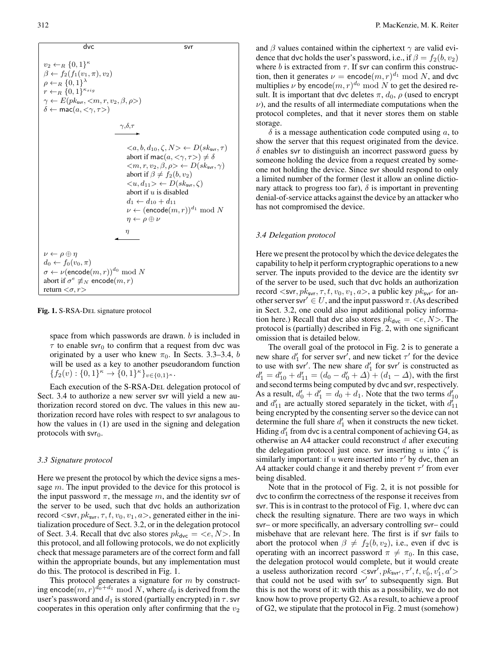$\overline{dvc}$  svr  $v_2 \leftarrow_R \{0,1\}^\kappa$  $\beta \leftarrow f_2(f_1(v_1, \pi), v_2)$  $\rho \leftarrow_R \{0,1\}^\lambda$  $r \leftarrow_R \{0,1\}^{\kappa_{sig}}$  $\gamma \leftarrow E(pk_{\text{svr}}, \langle m, r, v_2, \beta, \rho \rangle)$  $\delta \leftarrow \textsf{mac}(a, \langle \gamma, \tau \rangle)$  $γ, δ, τ$  $\langle a, b, d_{10}, \zeta, N \rangle \leftarrow D(s k_{\text{svr}}, \tau)$ abort if mac $(a, <\gamma, \tau>) \neq \delta$  $\langle m, r, v_2, \beta, \rho \rangle \leftarrow D(s k_{\text{svr}}, \gamma)$ abort if  $\beta \neq f_2(b, v_2)$  $\langle u, d_{11} \rangle \leftarrow D(s k_{\text{svr}}, \zeta)$ abort if  $u$  is disabled  $d_1 \leftarrow d_{10} + d_{11}$  $\nu \leftarrow (\texttt{encode}(m, r))^{d_1} \text{ mod } N$  $\eta \leftarrow \rho \oplus \nu$  $\eta$  $\nu \leftarrow \rho \oplus \eta$  $d_0 \leftarrow f_0(v_0, \pi)$  $σ ← ν$ (encode $(m, r)$ )<sup> $d_0$ </sup> mod N abort if  $\sigma^e \not\equiv_N \text{encode}(m, r)$ return  $<\sigma, r>$ 

**Fig. 1.** S-RSA-Del signature protocol

space from which passwords are drawn. b is included in  $\tau$  to enable svr<sub>0</sub> to confirm that a request from dvc was originated by a user who knew  $\pi_0$ . In Sects. 3.3–3.4, b will be used as a key to another pseudorandom function  ${f_2(v) : \{0,1\}^{\kappa} \to \{0,1\}^{\kappa}\}_{{v \in \{0,1\}^{\kappa}}}$ 

Each execution of the S-RSA-Del delegation protocol of Sect. 3.4 to authorize a new server svr will yield a new authorization record stored on dvc. The values in this new authorization record have roles with respect to svr analagous to how the values in (1) are used in the signing and delegation protocols with  $svr_0$ .

## *3.3 Signature protocol*

Here we present the protocol by which the device signs a message m. The input provided to the device for this protocol is the input password  $\pi$ , the message m, and the identity svr of the server to be used, such that dvc holds an authorization record  $\langle$ svr,  $pk_{\text{svr}}, \tau, t, v_0, v_1, a \rangle$ , generated either in the initialization procedure of Sect. 3.2, or in the delegation protocol of Sect. 3.4. Recall that dvc also stores  $pk_{\text{dvc}} = \langle e, N \rangle$ . In this protocol, and all following protocols, we do not explicitly check that message parameters are of the correct form and fall within the appropriate bounds, but any implementation must do this. The protocol is described in Fig. 1.

This protocol generates a signature for  $m$  by constructing encode $(m, r)^{d_0 + d_1} \mod N$ , where  $d_0$  is derived from the user's password and  $d_1$  is stored (partially encrypted) in  $\tau$ . svr cooperates in this operation only after confirming that the  $v_2$ 

and  $\beta$  values contained within the ciphertext  $\gamma$  are valid evidence that dvc holds the user's password, i.e., if  $\beta = f_2(b, v_2)$ where b is extracted from  $\tau$ . If svr can confirm this construction, then it generates  $\nu = \text{encode}(m, r)^{d_1} \text{ mod } N$ , and dvc multiplies  $\nu$  by encode $(m, r)^{d_0} \mod N$  to get the desired result. It is important that dvc deletes  $\pi$ ,  $d_0$ ,  $\rho$  (used to encrypt  $\nu$ ), and the results of all intermediate computations when the protocol completes, and that it never stores them on stable storage.

 $\delta$  is a message authentication code computed using a, to show the server that this request originated from the device.  $\delta$  enables svr to distinguish an incorrect password guess by someone holding the device from a request created by someone not holding the device. Since svr should respond to only a limited number of the former (lest it allow an online dictionary attack to progress too far),  $\delta$  is important in preventing denial-of-service attacks against the device by an attacker who has not compromised the device.

#### *3.4 Delegation protocol*

Here we present the protocol by which the device delegates the capability to help it perform cryptographic operations to a new server. The inputs provided to the device are the identity svr of the server to be used, such that dvc holds an authorization record  $\langle$ svr,  $pk_{\text{svr}}, \tau, t, v_0, v_1, a \rangle$ , a public key  $pk_{\text{svr}}$  for another server svr'  $\in U$ , and the input password  $\pi$ . (As described in Sect. 3.2, one could also input additional policy information here.) Recall that dvc also stores  $pk_{\text{dvc}} = \langle e, N \rangle$ . The protocol is (partially) described in Fig. 2, with one significant omission that is detailed below.

The overall goal of the protocol in Fig. 2 is to generate a new share  $d_1'$  for server svr<sup>*i*</sup>, and new ticket  $\tau'$  for the device to use with svr'. The new share  $d_1$  for svr' is constructed as  $d_1' = d_{10}' + d_{11}' = (d_0 - d_0' + \Delta) + (d_1 - \Delta)$ , with the first and second terms being computed by dvc and svr, respectively. As a result,  $d'_0 + d'_1 = d_0 + d_1$ . Note that the two terms  $d'_{10}$ and  $d'_{11}$  are actually stored separately in the ticket, with  $d_{11}^{i}$ being encrypted by the consenting server so the device can not determine the full share  $d_1'$  when it constructs the new ticket. Hiding  $d'_1$  from dvc is a central component of achieving G4, as otherwise an A4 attacker could reconstruct  $d$  after executing the delegation protocol just once. svr inserting u into  $\zeta'$  is similarly important: if u were inserted into  $\tau'$  by dvc, then an A4 attacker could change it and thereby prevent  $\tau'$  from ever being disabled.

Note that in the protocol of Fig. 2, it is not possible for dvc to confirm the correctness of the response it receives from svr. This is in contrast to the protocol of Fig. 1, where dvc can check the resulting signature. There are two ways in which svr– or more specifically, an adversary controlling svr– could misbehave that are relevant here. The first is if svr fails to abort the protocol when  $\beta \neq f_2(b, v_2)$ , i.e., even if dvc is operating with an incorrect password  $\pi \neq \pi_0$ . In this case, the delegation protocol would complete, but it would create a useless authorization record  $\langle \text{svr}', \text{pk}_{\text{svr}'}, \tau', t, v'_0, v'_1, a' \rangle$ that could not be used with svr' to subsequently sign. But this is not the worst of it: with this as a possibility, we do not know how to prove property G2. As a result, to achieve a proof of G2, we stipulate that the protocol in Fig. 2 must (somehow)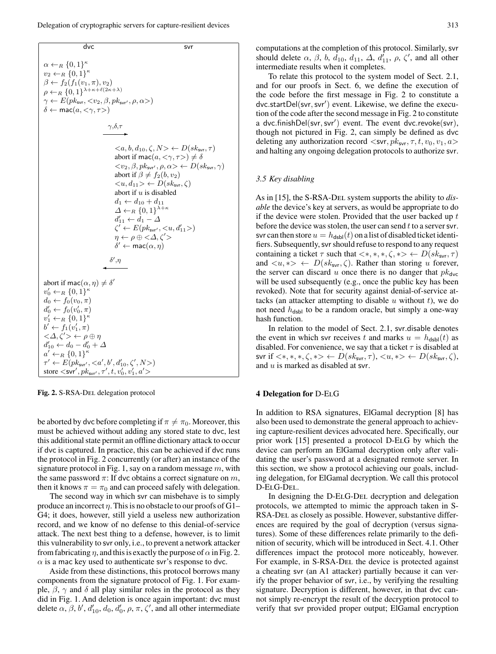Delegation of cryptographic servers for capture-resilient devices 313

$$
\begin{array}{ll}\n\hline\n\text{d} \mathbf{v} & \text{svr} \\
\alpha \leftarrow_R \{0,1\}^\kappa \\
\beta \leftarrow f_2(f_1(v_1,\pi), v_2) \\
\beta \leftarrow R \{0,1\}^{\lambda+\kappa+\ell(2\kappa+\lambda)} \\
\gamma \leftarrow E(p k_{\text{svr}}, \langle v_2, \beta, p k_{\text{svr}'}, \rho, \alpha \rangle) \\
\delta \leftarrow \max(a, \langle \gamma, \tau \rangle) \\
\delta \leftarrow \max(a, \langle \gamma, \tau \rangle) \\
\text{abort if } \max(a, \langle \gamma, \tau \rangle) \neq \delta \\
\langle v_2, \beta, p k_{\text{svr}'}, \rho, \alpha \rangle \leftarrow D(s k_{\text{svr}}, \tau) \\
\text{abort if } \beta \neq f_2(b, v_2) \\
\langle u, d_{11} \rangle \leftarrow D(s k_{\text{svr}}, \zeta) \\
\text{abort if } u \text{ is disabled} \\
\text{d}_1 \leftarrow d_{10} + d_{11} \\
\Delta \leftarrow R \{0,1\}^{\lambda+\kappa} \\
\zeta' \leftarrow E(p k_{\text{svr}'}, \langle u, d_{11} \rangle) \\
\gamma \leftarrow \rho \oplus \langle \Delta, \zeta' \rangle \\
\delta' \leftarrow \max(\alpha, \eta) \\
\delta' \leftarrow \max(\alpha, \eta) \\
\delta' \leftarrow \max(\alpha, \eta) \\
\delta' \leftarrow \max(\alpha, \eta) \\
\delta' \leftarrow \max(\alpha, \eta) \\
\delta' \leftarrow \max(\alpha, \eta) \\
\delta' \leftarrow f_1(v_1', \pi) \\
\delta_0 \leftarrow f_0(v_0, \pi) \\
\delta_1' \leftarrow f_1(v_1', \pi) \\
\delta_1 \leftarrow f_1(v_1', \pi) \\
\delta_2 \leftarrow f_2(v_1', \pi) \\
\delta_1' \leftarrow f_2(v_1', \pi) \\
\delta_2 \leftarrow f_2(v_1', \pi) \\
\delta_2 \leftarrow f_1(v_1', \pi) \\
\delta_1 \leftarrow d_0 - d_0' + \Delta \\
\alpha' \leftarrow R \{0,1\}^\kappa \\
\tau' \leftarrow E(p k_{\text{svr}'}, \langle a', b', d'_{10}, \zeta', N \rangle) \\
\text{store} \leftarrow \text{ssvr}', p k_{\text{svr}', \tau}', t, v_0', v_1', a
$$

**Fig. 2.** S-RSA-Del delegation protocol

be aborted by dvc before completing if  $\pi \neq \pi_0$ . Moreover, this must be achieved without adding any stored state to dvc, lest this additional state permit an offline dictionary attack to occur if dvc is captured. In practice, this can be achieved if dvc runs the protocol in Fig. 2 concurrently (or after) an instance of the signature protocol in Fig. 1, say on a random message  $m$ , with the same password  $\pi$ : If dvc obtains a correct signature on  $m$ , then it knows  $\pi = \pi_0$  and can proceed safely with delegation.

The second way in which svr can misbehave is to simply produce an incorrect  $\eta$ . This is no obstacle to our proofs of G1– G4; it does, however, still yield a useless new authorization record, and we know of no defense to this denial-of-service attack. The next best thing to a defense, however, is to limit this vulnerability to svr only, i.e., to prevent a network attacker from fabricating  $\eta$ , and this is exactly the purpose of  $\alpha$  in Fig. 2.  $\alpha$  is a mac key used to authenticate svr's response to dvc.

Aside from these distinctions, this protocol borrows many components from the signature protocol of Fig. 1. For example,  $\beta$ ,  $\gamma$  and  $\delta$  all play similar roles in the protocol as they did in Fig. 1. And deletion is once again important: dvc must delete  $\alpha$ ,  $\beta$ ,  $b'$ ,  $d'_{10}$ ,  $d_0$ ,  $d'_0$ ,  $\rho$ ,  $\pi$ ,  $\zeta'$ , and all other intermediate

computations at the completion of this protocol. Similarly, svr should delete  $\alpha$ ,  $\beta$ ,  $b$ ,  $d_{10}$ ,  $d_{11}$ ,  $\Delta$ ,  $d'_{11}$ ,  $\rho$ ,  $\zeta'$ , and all other intermediate results when it completes.

To relate this protocol to the system model of Sect. 2.1, and for our proofs in Sect. 6, we define the execution of the code before the first message in Fig. 2 to constitute a dvc.startDel(svr,svr ) event. Likewise, we define the execution of the code after the second message in Fig. 2 to constitute a dvc.finishDel(svr,svr ) event. The event dvc.revoke(svr), though not pictured in Fig. 2, can simply be defined as dvc deleting any authorization record  $\langle \text{svr}, \text{pk}_{\text{svr}}, \tau, t, v_0, v_1, a \rangle$ and halting any ongoing delegation protocols to authorize svr.

# *3.5 Key disabling*

As in [15], the S-RSA-Del system supports the ability to *disable* the device's key at servers, as would be appropriate to do if the device were stolen. Provided that the user backed up  $t$ before the device was stolen, the user can send  $t$  to a server svr. svr can then store  $u = h_{\text{dsbl}}(t)$  on a list of disabled ticket identifiers. Subsequently, svr should refuse to respond to any request containing a ticket  $\tau$  such that  $\langle *, *, *, \zeta, * \rangle \leftarrow D(s k_{\text{svr}}, \tau)$ and  $\langle u, * \rangle \leftarrow D(sk_{\text{svr}}, \zeta)$ . Rather than storing u forever, the server can discard u once there is no danger that  $pk_{\text{dvc}}$ will be used subsequently (e.g., once the public key has been revoked). Note that for security against denial-of-service attacks (an attacker attempting to disable  $u$  without  $t$ ), we do not need  $h_{\text{dsb}}$  to be a random oracle, but simply a one-way hash function.

In relation to the model of Sect. 2.1, svr.disable denotes the event in which svr receives t and marks  $u = h_{dsbl}(t)$  as disabled. For convenience, we say that a ticket  $\tau$  is disabled at svr if  $\langle *, *, *, \zeta, * \rangle \leftarrow D(sk_{\text{svr}}, \tau), \langle u, * \rangle \leftarrow D(sk_{\text{svr}}, \zeta),$ and  $u$  is marked as disabled at svr.

#### **4 Delegation for** D-ElG

In addition to RSA signatures, ElGamal decryption [8] has also been used to demonstrate the general approach to achieving capture-resilient devices advocated here. Specifically, our prior work [15] presented a protocol D-ElG by which the device can perform an ElGamal decryption only after validating the user's password at a designated remote server. In this section, we show a protocol achieving our goals, including delegation, for ElGamal decryption. We call this protocol D-ElG-Del.

In designing the D-ElG-Del decryption and delegation protocols, we attempted to mimic the approach taken in S-RSA-Del as closely as possible. However, substantive differences are required by the goal of decryption (versus signatures). Some of these differences relate primarily to the definition of security, which will be introduced in Sect. 4.1. Other differences impact the protocol more noticeably, however. For example, in S-RSA-Del the device is protected against a cheating svr (an A1 attacker) partially because it can verify the proper behavior of svr, i.e., by verifying the resulting signature. Decryption is different, however, in that dvc cannot simply re-encrypt the result of the decryption protocol to verify that svr provided proper output; ElGamal encryption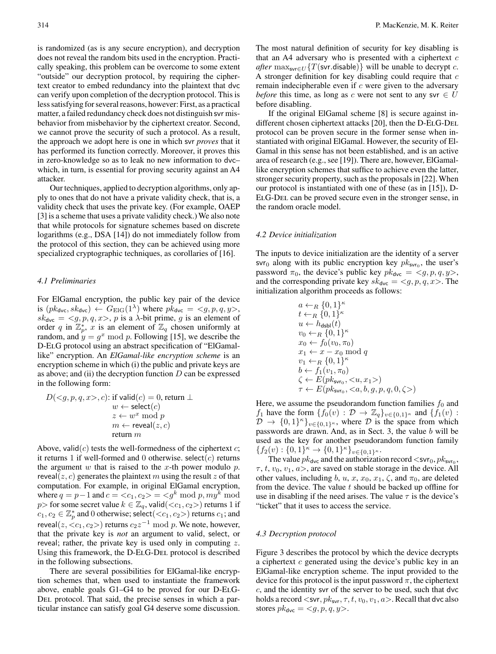is randomized (as is any secure encryption), and decryption does not reveal the random bits used in the encryption. Practically speaking, this problem can be overcome to some extent "outside" our decryption protocol, by requiring the ciphertext creator to embed redundancy into the plaintext that dvc can verify upon completion of the decryption protocol. This is less satisfying for several reasons, however: First, as a practical matter, a failed redundancy check does not distinguish svr misbehavior from misbehavior by the ciphertext creator. Second, we cannot prove the security of such a protocol. As a result, the approach we adopt here is one in which svr *proves* that it has performed its function correctly. Moreover, it proves this in zero-knowledge so as to leak no new information to dvc– which, in turn, is essential for proving security against an A4 attacker.

Our techniques, applied to decryption algorithms, only apply to ones that do not have a private validity check, that is, a validity check that uses the private key. (For example, OAEP [3] is a scheme that uses a private validity check.)We also note that while protocols for signature schemes based on discrete logarithms (e.g., DSA [14]) do not immediately follow from the protocol of this section, they can be achieved using more specialized cryptographic techniques, as corollaries of [16].

## *4.1 Preliminaries*

For ElGamal encryption, the public key pair of the device is  $(pk_{\text{dyc}}, sk_{\text{dyc}}) \leftarrow G_{\text{ElG}}(1^{\lambda})$  where  $pk_{\text{dyc}} = \langle q, p, q, y \rangle$ ,  $sk<sub>dvc</sub> = \langle g, p, q, x \rangle$ , p is a  $\lambda$ -bit prime, g is an element of order q in  $\mathbb{Z}_p^*$ , x is an element of  $\mathbb{Z}_q$  chosen uniformly at random, and  $y = g^x \mod p$ . Following [15], we describe the D-ElG protocol using an abstract specification of "ElGamallike" encryption. An *ElGamal-like encryption scheme* is an encryption scheme in which (i) the public and private keys are as above; and (ii) the decryption function  $D$  can be expressed in the following form:

$$
D(,c)
$$
: if  $\text{valid}(c) = 0$ , return  $\perp$   
 $w \leftarrow \text{select}(c)$   
 $z \leftarrow w^x \mod p$   
 $m \leftarrow \text{reveal}(z,c)$   
return  $m$ 

Above, valid $(c)$  tests the well-formedness of the ciphertext c; it returns 1 if well-formed and 0 otherwise. select $(c)$  returns the argument  $w$  that is raised to the  $x$ -th power modulo  $p$ . reveal $(z, c)$  generates the plaintext m using the result z of that computation. For example, in original ElGamal encryption, where  $q = p-1$  and  $c = \langle c_1, c_2 \rangle = \langle g^k \bmod p, my^k \bmod p$ p> for some secret value  $k \in \mathbb{Z}_q$ , valid $(*c*<sub>1</sub>, *c*<sub>2</sub>)$  returns 1 if  $c_1, c_2 \in \mathbb{Z}_p^*$  and 0 otherwise; select $(<\!c_1, c_2\!>$ ) returns  $c_1$ ; and reveal( $z, \langle c_1, c_2 \rangle$ ) returns  $c_2 z^{-1} \mod p$ . We note, however, that the private key is *not* an argument to valid, select, or reveal; rather, the private key is used only in computing z. Using this framework, the D-ElG-Del protocol is described in the following subsections.

There are several possibilities for ElGamal-like encryption schemes that, when used to instantiate the framework above, enable goals G1–G4 to be proved for our D-ElG-Del protocol. That said, the precise senses in which a particular instance can satisfy goal G4 deserve some discussion.

The most natural definition of security for key disabling is that an A4 adversary who is presented with a ciphertext  $c$ *after*  $\max_{\text{svr} \in U} \{T(\text{svr.disable})\}$  will be unable to decrypt c. A stronger definition for key disabling could require that  $c$ remain indecipherable even if  $c$  were given to the adversary *before* this time, as long as c were not sent to any svr  $\in U$ before disabling.

If the original ElGamal scheme [8] is secure against indifferent chosen ciphertext attacks [20], then the D-ElG-Del protocol can be proven secure in the former sense when instantiated with original ElGamal. However, the security of El-Gamal in this sense has not been established, and is an active area of research (e.g., see [19]). There are, however, ElGamallike encryption schemes that suffice to achieve even the latter, stronger security property, such as the proposals in [22].When our protocol is instantiated with one of these (as in [15]), D-ElG-Del can be proved secure even in the stronger sense, in the random oracle model.

#### *4.2 Device initialization*

The inputs to device initialization are the identity of a server svr<sub>0</sub> along with its public encryption key  $pk_{\textsf{svr}_0}$ , the user's password  $\pi_0$ , the device's public key  $pk_{\text{dvc}} = \langle g, p, q, y \rangle$ , and the corresponding private key  $sk_{\text{dvc}} = \langle g, p, q, x \rangle$ . The initialization algorithm proceeds as follows:

$$
a \leftarrow_R \{0,1\}^{\kappa} \nt \leftarrow_R \{0,1\}^{\kappa} \nu \leftarrow h_{\text{dsbl}}(t) \nv_0 \leftarrow_R \{0,1\}^{\kappa} \nx_0 \leftarrow f_0(v_0, \pi_0) \nx_1 \leftarrow x - x_0 \mod q \nv_1 \leftarrow_R \{0,1\}^{\kappa} \nb \leftarrow f_1(v_1, \pi_0) \n\zeta \leftarrow E(pk_{\text{svro}}, \langle u, x_1 \rangle) \n\tau \leftarrow E(pk_{\text{svro}}, \langle a, b, g, p, q, 0, \zeta \rangle)
$$

Here, we assume the pseudorandom function families  $f_0$  and  $f_1$  have the form  $\{f_0(v) : \mathcal{D} \to \mathbb{Z}_q\}_{v \in \{0,1\}^{\kappa}}$  and  $\{f_1(v)$ :  $\mathcal{D} \to \{0, 1\}^{\kappa}\}_{v \in \{0, 1\}^{\kappa}}$ , where  $\mathcal{D}$  is the space from which passwords are drawn. And, as in Sect. 3, the value  $b$  will be used as the key for another pseudorandom function family  ${f_2(v) : \{0,1\}^{\kappa} \to \{0,1\}^{\kappa}\}_{{v \in \{0,1\}^{\kappa}}}$ 

The value  $pk_{\text{dyc}}$  and the authorization record  $\langle \text{svr}_0, pk_{\text{svr}} \rangle$  $\tau, t, v_0, v_1, a >$ , are saved on stable storage in the device. All other values, including b, u, x, x<sub>0</sub>, x<sub>1</sub>,  $\zeta$ , and  $\pi_0$ , are deleted from the device. The value  $t$  should be backed up offline for use in disabling if the need arises. The value  $\tau$  is the device's "ticket" that it uses to access the service.

# *4.3 Decryption protocol*

Figure 3 describes the protocol by which the device decrypts a ciphertext  $c$  generated using the device's public key in an ElGamal-like encryption scheme. The input provided to the device for this protocol is the input password  $\pi$ , the ciphertext c, and the identity svr of the server to be used, such that dvc holds a record  $\langle$  svr,  $pk_{\text{svr}}, \tau, t, v_0, v_1, a \rangle$ . Recall that dvc also stores  $pk_{\text{dvc}} = \langle g, p, q, y \rangle$ .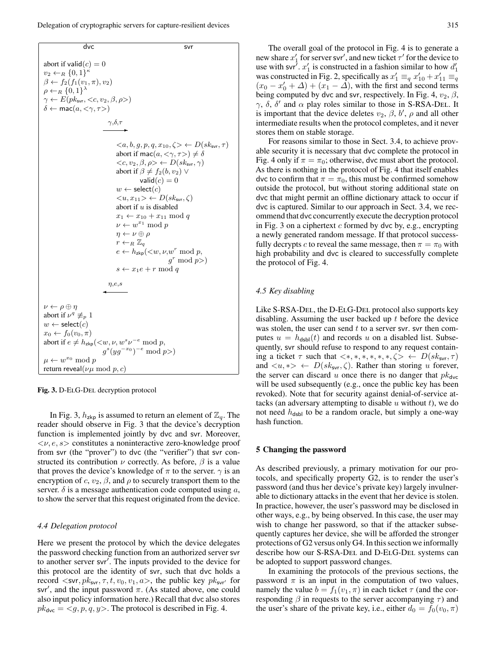Delegation of cryptographic servers for capture-resilient devices 315

 $\overline{dvc}$  svr abort if valid $(c)=0$  $v_2 \leftarrow_R \{0,1\}^k$  $\beta \leftarrow f_2(f_1(v_1, \pi), v_2)$  $\rho \leftarrow_R \{0,1\}^{\lambda}$  $\gamma \leftarrow E(pk_{\text{svr}}, \langle c, v_2, \beta, \rho \rangle)$  $\delta \leftarrow \text{mac}(a, \langle \gamma, \tau \rangle)$  $γ, δ, τ$  $\langle a, b, g, p, q, x_{10}, \zeta \rangle \leftarrow D(\mathit{sk}_{\mathsf{svr}}, \tau)$ abort if mac $(a, \langle \gamma, \tau \rangle) \neq \delta$  $\langle c, v_2, \beta, \rho \rangle \leftarrow D(s k_{\text{svr}}, \gamma)$ abort if  $\beta \neq f_2(b, v_2) \vee$ valid $(c)=0$  $w \leftarrow \text{select}(c)$  $\langle u, x_{11} \rangle \leftarrow D(s k_{\text{svr}}, \zeta)$ abort if  $u$  is disabled  $x_1 \leftarrow x_{10} + x_{11} \mod q$  $\nu \leftarrow w^{x_1} \bmod p$  $\eta \leftarrow \nu \oplus \rho$  $r \leftarrow_R \mathbb{Z}_q$  $e \leftarrow h_{\mathsf{zkp}}(\langle w, \nu, w^r \bmod p,$  $g^r \bmod p$  $s \leftarrow x_1e + r \mod q$  $\eta,e,s$  $\nu \leftarrow \rho \oplus \eta$ abort if  $\nu^q \not\equiv_p 1$  $w \leftarrow \text{select}(c)$  $x_0 \leftarrow f_0(v_0, \pi)$ abort if  $e \neq h_{\mathsf{zkp}}(\langle w, \nu, w^s \nu^{-e} \bmod p,$  $g^{s}(yg^{-x_0})^{-e} \mod p$  $\mu \leftarrow w^{x_0} \mod p$ return reveal( $\nu\mu$  mod  $p, c$ )

**Fig. 3.** D-ElG-Del decryption protocol

In Fig. 3,  $h_{\text{zkb}}$  is assumed to return an element of  $\mathbb{Z}_q$ . The reader should observe in Fig. 3 that the device's decryption function is implemented jointly by dvc and svr. Moreover,  $\langle v, e, s \rangle$  constitutes a noninteractive zero-knowledge proof from svr (the "prover") to dvc (the "verifier") that svr constructed its contribution  $\nu$  correctly. As before,  $\beta$  is a value that proves the device's knowledge of  $\pi$  to the server.  $\gamma$  is an encryption of c,  $v_2$ ,  $\beta$ , and  $\rho$  to securely transport them to the server.  $\delta$  is a message authentication code computed using a, to show the server that this request originated from the device.

# *4.4 Delegation protocol*

Here we present the protocol by which the device delegates the password checking function from an authorized server svr to another server svr . The inputs provided to the device for this protocol are the identity of svr, such that dvc holds a record  $\langle \text{svr}, \text{pk}_{\text{svr}}, \tau, t, v_0, v_1, a \rangle$ , the public key  $\text{pk}_{\text{svr}}$  for svr', and the input password  $\pi$ . (As stated above, one could also input policy information here.) Recall that dvc also stores  $pk_{\text{dvc}} = \langle g, p, q, y \rangle$ . The protocol is described in Fig. 4.

The overall goal of the protocol in Fig. 4 is to generate a new share  $x'_1$  for server svr', and new ticket  $\tau'$  for the device to use with svr<sup>7</sup>.  $x'_1$  is constructed in a fashion similar to how  $d'_1$ was constructed in Fig. 2, specifically as  $x'_1 \equiv_q x'_{10} + x'_{11} = \frac{1}{q}$  $(x_0 - x'_0 + \Delta) + (x_1 - \Delta)$ , with the first and second terms being computed by dvc and svr, respectively. In Fig. 4,  $v_2$ ,  $\beta$ ,  $\gamma$ ,  $\delta$ ,  $\delta'$  and  $\alpha$  play roles similar to those in S-RSA-DEL. It is important that the device deletes  $v_2$ ,  $\beta$ ,  $b'$ ,  $\rho$  and all other intermediate results when the protocol completes, and it never stores them on stable storage.

For reasons similar to those in Sect. 3.4, to achieve provable security it is necessary that dvc complete the protocol in Fig. 4 only if  $\pi = \pi_0$ ; otherwise, dvc must abort the protocol. As there is nothing in the protocol of Fig. 4 that itself enables dvc to confirm that  $\pi = \pi_0$ , this must be confirmed somehow outside the protocol, but without storing additional state on dvc that might permit an offline dictionary attack to occur if dvc is captured. Similar to our approach in Sect. 3.4, we recommend that dvc concurrently execute the decryption protocol in Fig. 3 on a ciphertext  $c$  formed by dvc by, e.g., encrypting a newly generated random message. If that protocol successfully decrypts c to reveal the same message, then  $\pi = \pi_0$  with high probability and dvc is cleared to successfully complete the protocol of Fig. 4.

## *4.5 Key disabling*

Like S-RSA-Del, the D-ElG-Del protocol also supports key disabling. Assuming the user backed up t before the device was stolen, the user can send  $t$  to a server svr. svr then computes  $u = h_{\text{dsbl}}(t)$  and records u on a disabled list. Subsequently, svr should refuse to respond to any request containing a ticket  $\tau$  such that  $\langle *, *, *, *, *, *, \zeta \rangle \leftarrow D(s k_{\text{svr}}, \tau)$ and  $\langle u, * \rangle \leftarrow D(\mathit{sk}_{\mathsf{svr}}, \zeta)$ . Rather than storing u forever, the server can discard u once there is no danger that  $pk_{\text{dvc}}$ will be used subsequently (e.g., once the public key has been revoked). Note that for security against denial-of-service attacks (an adversary attempting to disable  $u$  without  $t$ ), we do not need  $h_{\text{dsb}}$  to be a random oracle, but simply a one-way hash function.

# **5 Changing the password**

As described previously, a primary motivation for our protocols, and specifically property G2, is to render the user's password (and thus her device's private key) largely invulnerable to dictionary attacks in the event that her device is stolen. In practice, however, the user's password may be disclosed in other ways, e.g., by being observed. In this case, the user may wish to change her password, so that if the attacker subsequently captures her device, she will be afforded the stronger protections of G2 versus only G4. In this section we informally describe how our S-RSA-Del and D-ElG-Del systems can be adopted to support password changes.

In examining the protocols of the previous sections, the password  $\pi$  is an input in the computation of two values, namely the value  $b = f_1(v_1, \pi)$  in each ticket  $\tau$  (and the corresponding  $\beta$  in requests to the server accompanying  $\tau$ ) and the user's share of the private key, i.e., either  $d_0 = f_0(v_0, \pi)$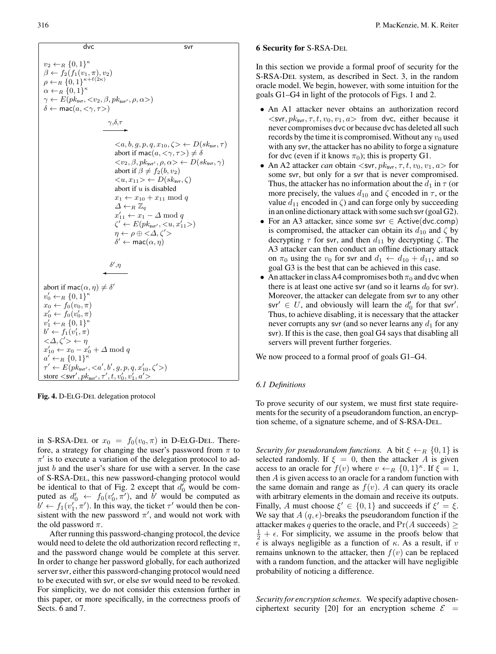$$
\begin{array}{ll}\n\text{d} \text{vc} & \text{svr} \\
v_2 \leftarrow_R \{0,1\}^\kappa \\
\beta \leftarrow f_2(f_1(v_1,\pi), v_2) \\
\rho \leftarrow_R \{0,1\}^{\kappa + \ell(2\kappa)} \\
\alpha \leftarrow_R \{0,1\}^\kappa \\
\gamma \leftarrow E(p k_{\text{svr}}, v_2, \beta, pk_{\text{svr}'}, \rho, \alpha) \\
\delta \leftarrow \max(a, \langle \gamma, \tau \rangle) \\
\gamma, \delta, \tau \\
\gamma \leftarrow \zeta, \delta, \tau \\
\gamma, \delta, \tau \\
\gamma, \delta, \tau \\
\gamma, \delta, \tau \\
\gamma, \delta, \tau \\
\gamma, \delta, \tau \\
\gamma, \delta, \tau \\
\gamma, \delta, \tau \\
\gamma, \delta, \tau \\
\gamma, \delta, \tau \\
\gamma, \delta, \tau \\
\gamma, \delta, \tau \\
\gamma, \delta, \tau \\
\gamma, \delta, \tau \\
\gamma, \delta, \tau \\
\gamma, \delta, \tau \\
\gamma, \delta, \tau \\
\gamma, \delta, \tau \\
\gamma, \delta, \tau \\
\gamma, \delta, \tau \\
\gamma, \delta, \tau \\
\gamma, \delta, \tau \\
\gamma, \delta, \tau \\
\gamma, \delta, \tau \\
\gamma, \delta, \tau \\
\gamma, \delta, \tau \\
\gamma, \delta, \tau \\
\gamma, \delta, \tau \\
\gamma, \delta, \tau \\
\gamma, \delta, \gamma, \delta, \tau \\
\gamma, \delta, \gamma, \delta, \gamma, \delta, \gamma\n\end{array}
$$
\n
$$
\begin{array}{l}\n\alpha_{\kappa} \cdot b, \beta, \gamma, \gamma, \gamma, \delta, \gamma, \delta, \gamma, \delta, \gamma, \delta \\
\gamma, \delta, \gamma, \delta, \gamma, \delta, \gamma, \delta, \gamma, \delta, \gamma \\
\gamma, \delta, \gamma, \delta, \gamma, \delta, \gamma, \delta, \gamma\n\end{array}
$$
\n
$$
\begin{array}{l}\n\alpha_{\kappa} \cdot b, \gamma, \delta, \gamma, \delta, \gamma, \delta, \gamma, \delta, \gamma, \delta, \gamma \\
\gamma, \delta, \gamma, \delta, \gamma, \delta, \gamma, \delta, \gamma\n\end{array}
$$
\n
$$
\begin{array}{l}\n\alpha_{\kappa} \cdot b, \delta, \gamma, \gamma, \delta, \gamma, \delta, \gamma, \delta, \gamma, \delta
$$

**Fig. 4.** D-ElG-Del delegation protocol

in S-RSA-DEL or  $x_0 = f_0(v_0, \pi)$  in D-ELG-DEL. Therefore, a strategy for changing the user's password from  $\pi$  to  $\pi'$  is to execute a variation of the delegation protocol to adjust b and the user's share for use with a server. In the case of S-RSA-Del, this new password-changing protocol would be identical to that of Fig. 2 except that  $d_0^r$  would be computed as  $d'_0 \leftarrow f_0(v'_0, \pi')$ , and  $\overline{b}'$  would be computed as  $b' \leftarrow f_1(v_1', \pi')$ . In this way, the ticket  $\tau'$  would then be consistent with the new password  $\pi'$ , and would not work with the old password  $\pi$ .

After running this password-changing protocol, the device would need to delete the old authorization record reflecting  $\pi$ , and the password change would be complete at this server. In order to change her password globally, for each authorized server svr, either this password-changing protocol would need to be executed with svr, or else svr would need to be revoked. For simplicity, we do not consider this extension further in this paper, or more specifically, in the correctness proofs of Sects. 6 and 7.

## **6 Security for** S-RSA-Del

In this section we provide a formal proof of security for the S-RSA-Del system, as described in Sect. 3, in the random oracle model. We begin, however, with some intuition for the goals G1–G4 in light of the protocols of Figs. 1 and 2.

- An A1 attacker never obtains an authorization record  $\langle$ svr,  $pk_{\text{svr}}, \tau, t, v_0, v_1, a \rangle$  from dvc, either because it never compromises dvc or because dvc has deleted all such records by the time it is compromised. Without any  $v_0$  used with any svr, the attacker has no ability to forge a signature for dvc (even if it knows  $\pi_0$ ); this is property G1.
- An A2 attacker *can* obtain  $\langle$ svr,  $pk_{\mathsf{svr}}, \tau, t, v_0, v_1, a \rangle$  for some svr, but only for a svr that is never compromised. Thus, the attacker has no information about the  $d_1$  in  $\tau$  (or more precisely, the values  $d_{10}$  and  $\zeta$  encoded in  $\tau$ , or the value  $d_{11}$  encoded in  $\zeta$ ) and can forge only by succeeding in an online dictionary attack with some such svr(goal G2).
- For an A3 attacker, since some svr ∈ Active(dvc.comp) is compromised, the attacker can obtain its  $d_{10}$  and  $\zeta$  by decrypting  $\tau$  for svr, and then  $d_{11}$  by decrypting  $\zeta$ . The A3 attacker can then conduct an offline dictionary attack on  $\pi_0$  using the  $v_0$  for svr and  $d_1 \leftarrow d_{10} + d_{11}$ , and so goal G3 is the best that can be achieved in this case.
- An attacker in class A4 compromises both  $\pi_0$  and dvc when there is at least one active svr (and so it learns  $d_0$  for svr). Moreover, the attacker can delegate from svr to any other svr'  $\in U$ , and obviously will learn the  $d'_0$  for that svr'. Thus, to achieve disabling, it is necessary that the attacker never corrupts any svr (and so never learns any  $d_1$  for any svr). If this is the case, then goal G4 says that disabling all servers will prevent further forgeries.

We now proceed to a formal proof of goals G1–G4.

# *6.1 Definitions*

To prove security of our system, we must first state requirements for the security of a pseudorandom function, an encryption scheme, of a signature scheme, and of S-RSA-Del.

*Security for pseudorandom functions.* A bit  $\xi \leftarrow_R \{0,1\}$  is selected randomly. If  $\xi = 0$ , then the attacker A is given access to an oracle for  $f(v)$  where  $v \leftarrow_R \{0,1\}^{\kappa}$ . If  $\xi = 1$ , then  $A$  is given access to an oracle for a random function with the same domain and range as  $f(v)$ . A can query its oracle with arbitrary elements in the domain and receive its outputs. Finally, A must choose  $\xi' \in \{0, 1\}$  and succeeds if  $\xi' = \xi$ . We say that  $A(q, \epsilon)$ -breaks the pseudorandom function if the attacker makes q queries to the oracle, and  $Pr(A \text{ succeeds}) \geq$  $\frac{1}{2} + \epsilon$ . For simplicity, we assume in the proofs below that  $\epsilon$  is always negligible as a function of  $\kappa$ . As a result, if v remains unknown to the attacker, then  $f(v)$  can be replaced with a random function, and the attacker will have negligible probability of noticing a difference.

*Security for encryption schemes.* We specify adaptive chosenciphertext security [20] for an encryption scheme  $\mathcal{E}$  =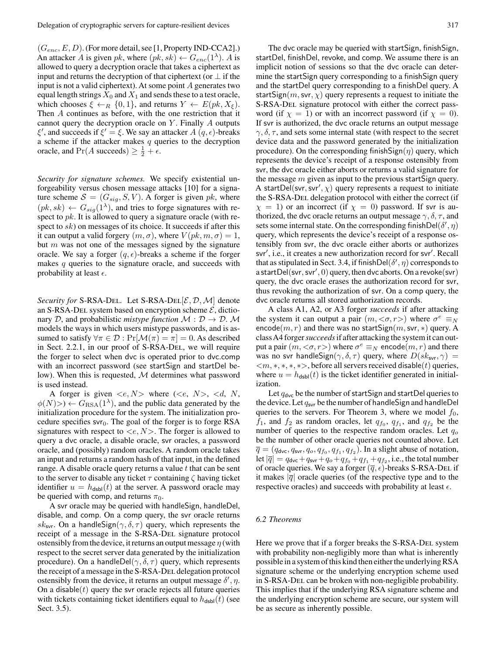$(G_{enc}, E, D)$ . (For more detail, see [1, Property IND-CCA2].) An attacker A is given pk, where  $(pk, sk) \leftarrow G_{enc}(1^{\lambda})$ . A is allowed to query a decryption oracle that takes a ciphertext as input and returns the decryption of that ciphertext (or  $\perp$  if the input is not a valid ciphertext). At some point A generates two equal length strings  $X_0$  and  $X_1$  and sends these to a test oracle, which chooses  $\xi \leftarrow_R \{0, 1\}$ , and returns  $Y \leftarrow E(pk, X_{\xi})$ . Then A continues as before, with the one restriction that it cannot query the decryption oracle on  $Y$ . Finally  $A$  outputs ξ', and succeeds if  $\xi' = \xi$ . We say an attacker A  $(q, \epsilon)$ -breaks a scheme if the attacker makes  $q$  queries to the decryption oracle, and  $Pr(A \text{ succeeds}) \geq \frac{1}{2} + \epsilon$ .

*Security for signature schemes.* We specify existential unforgeability versus chosen message attacks [10] for a signature scheme  $S = (G_{sig}, S, V)$ . A forger is given pk, where  $(pk, sk) \leftarrow G_{sig}(1^{\lambda})$ , and tries to forge signatures with respect to *pk*. It is allowed to query a signature oracle (with respect to  $sk$ ) on messages of its choice. It succeeds if after this it can output a valid forgery  $(m, \sigma)$ , where  $V(pk, m, \sigma) = 1$ , but  $m$  was not one of the messages signed by the signature oracle. We say a forger  $(q, \epsilon)$ -breaks a scheme if the forger makes  $q$  queries to the signature oracle, and succeeds with probability at least  $\epsilon$ .

*Security for* S-RSA-DEL. Let S-RSA-DEL $[\mathcal{E}, \mathcal{D}, \mathcal{M}]$  denote an S-RSA-DEL system based on encryption scheme  $\mathcal{E}$ , dictionary D, and probabilistic *mistype function*  $M : D \to D$ . M models the ways in which users mistype passwords, and is assumed to satisfy  $\forall \pi \in \mathcal{D} : \Pr[\mathcal{M}(\pi) = \pi] = 0$ . As described in Sect. 2.2.1, in our proof of S-RSA-Del, we will require the forger to select when dvc is operated prior to dvc.comp with an incorrect password (see startSign and startDel below). When this is requested, M determines what password is used instead.

A forger is given  $\langle e, N \rangle$  where  $(\langle e, N \rangle, \langle d, N, \rangle)$  $\phi(N)$   $\rightarrow$   $G_{\text{RSA}}(1^{\lambda})$ , and the public data generated by the initialization procedure for the system. The initialization procedure specifies  $svr_0$ . The goal of the forger is to forge RSA signatures with respect to  $\langle e, N \rangle$ . The forger is allowed to query a dvc oracle, a disable oracle, svr oracles, a password oracle, and (possibly) random oracles. A random oracle takes an input and returns a random hash of that input, in the defined range. A disable oracle query returns a value  $t$  that can be sent to the server to disable any ticket  $\tau$  containing  $\zeta$  having ticket identifier  $u = h_{dsbl}(t)$  at the server. A password oracle may be queried with comp, and returns  $\pi_0$ .

A svr oracle may be queried with handleSign, handleDel, disable, and comp. On a comp query, the svr oracle returns sk<sub>svr</sub>. On a handleSign( $\gamma$ ,  $\delta$ ,  $\tau$ ) query, which represents the receipt of a message in the S-RSA-Del signature protocol ostensibly from the device, it returns an output message  $\eta$  (with respect to the secret server data generated by the initialization procedure). On a handleDel( $\gamma$ ,  $\delta$ ,  $\tau$ ) query, which represents the receipt of a message in the S-RSA-Del delegation protocol ostensibly from the device, it returns an output message  $\delta', \eta$ . On a disable $(t)$  query the svr oracle rejects all future queries with tickets containing ticket identifiers equal to  $h_{\text{dsbl}}(t)$  (see Sect. 3.5).

The dvc oracle may be queried with startSign, finishSign, startDel, finishDel, revoke, and comp. We assume there is an implicit notion of sessions so that the dvc oracle can determine the startSign query corresponding to a finishSign query and the startDel query corresponding to a finishDel query. A startSign(m, svr,  $\chi$ ) query represents a request to initiate the S-RSA-Del signature protocol with either the correct password (if  $\chi = 1$ ) or with an incorrect password (if  $\chi = 0$ ). If svr is authorized, the dvc oracle returns an output message  $\gamma$ ,  $\delta$ ,  $\tau$ , and sets some internal state (with respect to the secret device data and the password generated by the initialization procedure). On the corresponding finish  $Sign(\eta)$  query, which represents the device's receipt of a response ostensibly from svr, the dvc oracle either aborts or returns a valid signature for the message  $m$  given as input to the previous startSign query. A startDel(svr, svr',  $\chi$ ) query represents a request to initiate the S-RSA-Del delegation protocol with either the correct (if  $\chi = 1$ ) or an incorrect (if  $\chi = 0$ ) password. If svr is authorized, the dvc oracle returns an output message  $\gamma$ ,  $\delta$ ,  $\tau$ , and sets some internal state. On the corresponding finishDel( $\delta', \eta$ ) query, which represents the device's receipt of a response ostensibly from svr, the dvc oracle either aborts or authorizes svr , i.e., it creates a new authorization record for svr . Recall that as stipulated in Sect. 3.4, if finish Del $(\delta', \eta)$  corresponds to a startDel(svr, svr', 0) query, then dvc aborts. On a revoke(svr) query, the dvc oracle erases the authorization record for svr, thus revoking the authorization of svr. On a comp query, the dvc oracle returns all stored authorization records.

A class A1, A2, or A3 forger *succeeds* if after attacking the system it can output a pair  $(m, <\sigma, r>)$  where  $\sigma^e \equiv_N$ encode $(m, r)$  and there was no startSign $(m, \text{svr}, *)$  query. A classA4 forger*succeeds*if after attacking the system it can output a pair  $(m, <\sigma, r>)$  where  $\sigma^e \equiv_N \text{ encode}(m, r)$  and there was no svr handleSign( $\gamma$ ,  $\delta$ ,  $\tau$ ) query, where  $D(s k<sub>svr</sub>, \gamma)$  =  $\langle m, *, *, *, \rangle$ , before all servers received disable(t) queries, where  $u = h_{dsbl}(t)$  is the ticket identifier generated in initialization.

Let  $q_{\text{dyc}}$  be the number of startSign and startDel queries to the device. Let  $q_{\text{svr}}$  be the number of handleSign and handleDel queries to the servers. For Theorem 3, where we model  $f_0$ ,  $f_1$ , and  $f_2$  as random oracles, let  $q_{f_0}$ ,  $q_{f_1}$ , and  $q_{f_2}$  be the number of queries to the respective random oracles. Let  $q_o$ be the number of other oracle queries not counted above. Let  $\overline{q} = (q_{\text{dvc}}, q_{\text{svr}}, q_o, q_{f_0}, q_{f_1}, q_{f_2})$ . In a slight abuse of notation, let  $|\overline{q}| = q_{\text{dvc}}+q_{\text{svr}}+q_o+q_{f0}+q_{f1}+q_{f2}$ , i.e., the total number of oracle queries. We say a forger  $(\overline{q}, \epsilon)$ -breaks S-RSA-DEL if it makes  $|\overline{q}|$  oracle queries (of the respective type and to the respective oracles) and succeeds with probability at least  $\epsilon$ .

#### *6.2 Theorems*

Here we prove that if a forger breaks the S-RSA-Del system with probability non-negligibly more than what is inherently possible in a system of this kind then either the underlying RSA signature scheme or the underlying encryption scheme used in S-RSA-Del can be broken with non-negligible probability. This implies that if the underlying RSA signature scheme and the underlying encryption scheme are secure, our system will be as secure as inherently possible.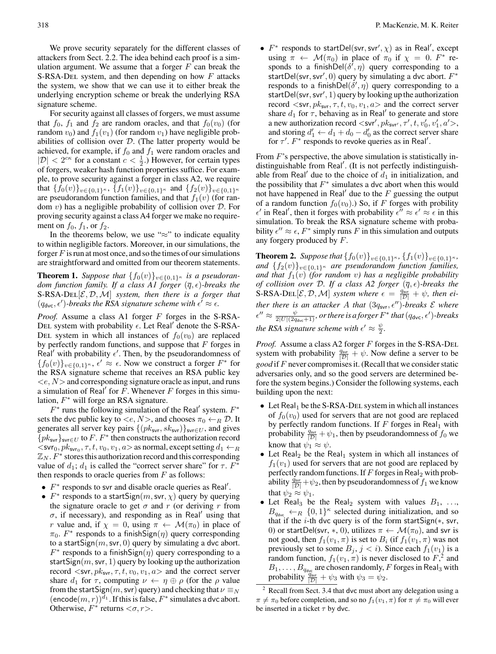We prove security separately for the different classes of attackers from Sect. 2.2. The idea behind each proof is a simulation argument. We assume that a forger  $F$  can break the S-RSA-DEL system, and then depending on how  $F$  attacks the system, we show that we can use it to either break the underlying encryption scheme or break the underlying RSA signature scheme.

For security against all classes of forgers, we must assume that  $f_0$ ,  $f_1$  and  $f_2$  are random oracles, and that  $f_0(v_0)$  (for random  $v_0$ ) and  $f_1(v_1)$  (for random  $v_1$ ) have negligible probabilities of collision over  $D$ . (The latter property would be achieved, for example, if  $f_0$  and  $f_1$  were random oracles and  $|\mathcal{D}| < 2^{c\kappa}$  for a constant  $c < \frac{1}{2}$ .) However, for certain types of forgers, weaker hash function properties suffice. For example, to prove security against a forger in class A2, we require that  $\{f_0(v)\}_{v\in\{0,1\}^{\kappa}}$ ,  $\{f_1(v)\}_{v\in\{0,1\}^{\kappa}}$  and  $\{f_2(v)\}_{v\in\{0,1\}^{\kappa}}$ are pseudorandom function families, and that  $f_1(v)$  (for random v) has a negligible probability of collision over  $D$ . For proving security against a class A4 forger we make no requirement on  $f_0$ ,  $f_1$ , or  $f_2$ .

In the theorems below, we use "≈" to indicate equality to within negligible factors. Moreover, in our simulations, the forger  $F$  is run at most once, and so the times of our simulations are straightforward and omitted from our theorem statements.

**Theorem 1.** *Suppose that*  $\{f_0(v)\}_{v\in\{0,1\}^{\kappa}}$  *is a pseudorandom function family. If a class A1 forger*  $(\overline{q}, \epsilon)$ *-breaks the*  $S-RSA-DEL[\mathcal{E}, \mathcal{D}, \mathcal{M}]$  *system, then there is a forger that*  $(q_{\text{dvc}}, \epsilon')$ -breaks the RSA signature scheme with  $\epsilon' \approx \epsilon$ .

*Proof.* Assume a class A1 forger F forges in the S-RSA-DEL system with probability  $\epsilon$ . Let Real' denote the S-RSA-DEL system in which all instances of  $f_0(v_0)$  are replaced by perfectly random functions, and suppose that  $F$  forges in Real' with probability  $\epsilon'$ . Then, by the pseudorandomness of  ${f_0(v)}_{v \in \{0,1\}^{\kappa}}$ ,  $\epsilon' \approx \epsilon$ . Now we construct a forger  $F^*$  for the RSA signature scheme that receives an RSA public key  $\langle e, N \rangle$  and corresponding signature oracle as input, and runs a simulation of Real' for F. Whenever F forges in this simulation,  $F^*$  will forge an RSA signature.

 $F^*$  runs the following simulation of the Real' system.  $F^*$ sets the dvc public key to  $\langle e, N \rangle$ , and chooses  $\pi_0 \leftarrow_R \mathcal{D}$ . It generates all server key pairs  $\{(pk_{\text{svr}}, sk_{\text{svr}})\}_{\text{svr} \in U}$ , and gives  $\{pk_{\mathsf{svr}}\}_{\mathsf{svr}\in U}$  to F.  $F^*$  then constructs the authorization record  $\langle \textsf{svr}_0, \textit{pk}_{\textsf{svr}_0}, \tau, t, v_0, v_1, a \rangle$  as normal, except setting  $d_1 \leftarrow_R$  $\mathbb{Z}_N$ .  $F^*$  stores this authorization record and this corresponding value of  $d_1$ ;  $d_1$  is called the "correct server share" for  $\tau$ .  $F^*$ then responds to oracle queries from  $F$  as follows:

- $F^*$  responds to svr and disable oracle queries as Real'.
- $F^*$  responds to a startSign $(m, \text{svr}, \chi)$  query by querying the signature oracle to get  $\sigma$  and r (or deriving r from  $\sigma$ , if necessary), and responding as in Real' using that r value and, if  $\chi = 0$ , using  $\pi \leftarrow \mathcal{M}(\pi_0)$  in place of  $\pi_0$ .  $F^*$  responds to a finishSign( $\eta$ ) query corresponding to a start Sign $(m, \text{svr}, 0)$  query by simulating a dvc abort.  $F^*$  responds to a finish Sign( $\eta$ ) query corresponding to a startSign( $m$ , svr, 1) query by looking up the authorization record  $\langle$ svr,  $pk_{\text{svr}}$ ,  $\tau$ ,  $t$ ,  $v_0$ ,  $v_1$ ,  $a$  and the correct server share  $d_1$  for  $\tau$ , computing  $\nu \leftarrow \eta \oplus \rho$  (for the  $\rho$  value from the startSign(m, svr) query) and checking that  $\nu \equiv_N$ (encode $(m, r)^{d_1}$ . If this is false,  $F^*$  simulates a dvc abort. Otherwise,  $F^*$  returns  $\langle \sigma, r \rangle$ .

•  $F^*$  responds to startDel(svr, svr',  $\chi$ ) as in Real', except using  $\pi \leftarrow \mathcal{M}(\pi_0)$  in place of  $\pi_0$  if  $\chi = 0$ .  $F^*$  responds to a finish  $\text{Del}(\delta', \eta)$  query corresponding to a startDel(svr, svr', 0) query by simulating a dvc abort.  $F^*$ responds to a finishDel $(\delta', \eta)$  query corresponding to a startDel(svr, svr', 1) query by looking up the authorization record  $\langle$ svr,  $pk_{\text{svr}}, \tau, t, v_0, v_1, a \rangle$  and the correct server share  $d_1$  for  $\tau$ , behaving as in Real' to generate and store a new authorization record  $\langle \text{svr}', \text{pk}_{\text{svr}'}, \tau', t, v'_0, v'_1, a' \rangle$ , and storing  $d'_1 \leftarrow d_1 + d_0 - d'_0$  as the correct server share for  $\tau'$ .  $F^*$  responds to revoke queries as in Real'.

From  $F$ 's perspective, the above simulation is statistically indistinguishable from Real . (It is not perfectly indistinguishable from Real' due to the choice of  $d_1$  in initialization, and the possibility that  $F^*$  simulates a dvc abort when this would not have happened in Real' due to the  $F$  guessing the output of a random function  $f_0(v_0)$ .) So, if F forges with probility  $\epsilon'$  in Real', then it forges with probability  $\epsilon'' \approx \epsilon' \approx \epsilon$  in this simulation. To break the RSA signature scheme with probability  $\epsilon'' \approx \epsilon$ ,  $F^*$  simply runs F in this simulation and outputs any forgery produced by F.

**Theorem 2.** *Suppose that*  $\{f_0(v)\}_{v \in \{0,1\}^{\kappa}}$ ,  $\{f_1(v)\}_{v \in \{0,1\}^{\kappa}}$ , *and*  $\{f_2(v)\}_{v\in\{0,1\}^{\kappa}}$  *are pseudorandom function families,* and that  $f_1(v)$  (for random v) has a negligible probability *of collision over D. If a class A2 forger*  $(\overline{q}, \epsilon)$ -breaks the  $\widetilde{\text{S-RSA-DEL}}[\mathcal{E}, \mathcal{D}, \mathcal{M}]$  system where  $\epsilon = \frac{q_{\text{svr}}}{|\mathcal{D}|} + \psi$ , then ei*ther there is an attacker A that*  $(3q_{\text{svr}}, \epsilon'')$ -breaks  $\mathcal E$  where  $\epsilon'' \approx \frac{\psi}{2|U|(2q_{\sf dvc}+1)}$ , or there is a forger  $F^*$  that  $(q_{\sf dvc}, \epsilon')$ -breaks *the RSA signature scheme with*  $\epsilon' \approx \frac{\psi}{2}$ *.* 

*Proof.* Assume a class A2 forger F forges in the S-RSA-DEL system with probability  $\frac{q_{\text{svr}}}{|D|} + \psi$ . Now define a server to be *good* if F never compromises it. (Recall that we consider static adversaries only, and so the good servers are determined before the system begins.) Consider the following systems, each building upon the next:

- Let  $Real_1$  be the S-RSA-DEL system in which all instances of  $f_0(v_0)$  used for servers that are not good are replaced by perfectly random functions. If F forges in Real<sub>1</sub> with probability  $\frac{q_{\text{svr}}}{|D|} + \psi_1$ , then by pseudorandomness of  $f_0$  we know that  $\psi_1 \approx \psi$ .
- Let Real<sub>2</sub> be the Real<sub>1</sub> system in which all instances of  $f_1(v_1)$  used for servers that are not good are replaced by perfectly random functions. If  $F$  forges in Real<sub>2</sub> with probability  $\frac{q_{\text{svr}}}{|D|} + \psi_2$ , then by pseudorandomness of  $f_1$  we know that  $\psi_2 \approx \psi_1$ .
- Let Real<sub>3</sub> be the Real<sub>2</sub> system with values  $B_1, \ldots,$  $B_{q_{\text{dyc}}} \leftarrow_R \{0,1\}^{\kappa}$  selected during initialization, and so that if the  $i$ -th dvc query is of the form startSign( $*$ , svr, 0) or startDel(svr, \*, 0), utilizes  $\pi \leftarrow \mathcal{M}(\pi_0)$ , and svr is not good, then  $f_1(v_1, \pi)$  is set to  $B_i$  (if  $f_1(v_1, \pi)$  was not previously set to some  $B_j$ ,  $j < i$ ). Since each  $f_1(v_1)$  is a random function,  $f_1(v_1, \pi)$  is never disclosed to  $F^2$ , and  $B_1, \ldots, B_{q_{\text{dyc}}}$  are chosen randomly, F forges in Real<sub>3</sub> with probability  $\frac{q_{\text{svr}}}{|\mathcal{D}|} + \psi_3$  with  $\psi_3 = \psi_2$ .

<sup>2</sup> Recall from Sect. 3.4 that dvc must abort any delegation using a  $\pi \neq \pi_0$  before completion, and so no  $f_1(v_1, \pi)$  for  $\pi \neq \pi_0$  will ever be inserted in a ticket  $\tau$  by dvc.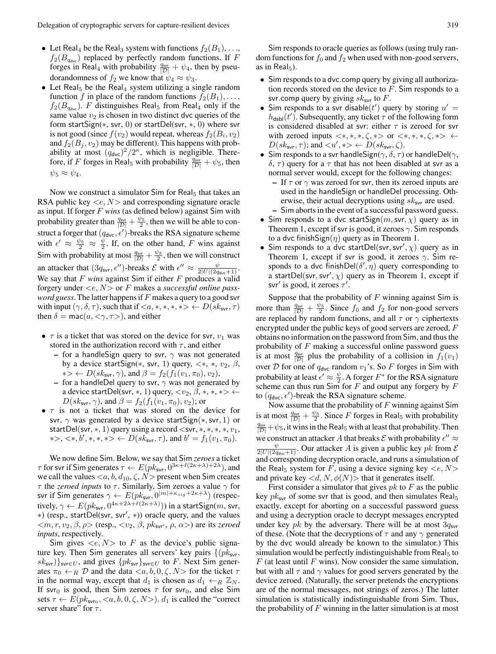- Let Real<sub>4</sub> be the Real<sub>3</sub> system with functions  $f_2(B_1), \ldots$  $f_2(B_{q_{\text{dyc}}})$  replaced by perfectly random functions. If F forges in Real<sub>4</sub> with probability  $\frac{q_{\text{svr}}}{|D|} + \psi_4$ , then by pseudorandomness of  $f_2$  we know that  $\psi_4 \approx \psi_3$ .
- Let Real<sub>5</sub> be the Real<sub>4</sub> system utilizing a single random function f in place of the random functions  $f_2(B_1), \ldots$ ,  $f_2(B_{q_{\text{dyc}}})$ . F distinguishes Real<sub>5</sub> from Real<sub>4</sub> only if the same value  $v_2$  is chosen in two distinct dvc queries of the form startSign(∗, svr, 0) or startDel(svr, ∗, 0) where svr is not good (since  $f(v_2)$  would repeat, whereas  $f_2(B_i, v_2)$ and  $f_2(B_i, v_2)$  may be different). This happens with probability at most  $(q_{\text{dvc}})^2/2^{\kappa}$ , which is negligible. Therefore, if F forges in Real<sub>5</sub> with probability  $\frac{q_{\text{svr}}}{|D|} + \psi_5$ , then  $\psi_5 \approx \psi_4.$

Now we construct a simulator  $Sim$  for Real<sub>5</sub> that takes an RSA public key  $\langle e, N \rangle$  and corresponding signature oracle as input. If forger F *wins* (as defined below) against Sim with probability greater than  $\frac{q_{\text{svr}}}{|D|} + \frac{\psi_5}{2}$ , then we will be able to construct a forger that  $(q_{\text{dvc}}, \epsilon')$ -breaks the RSA signature scheme with  $\epsilon' \approx \frac{\psi_5}{2} \approx \frac{\psi}{2}$ . If, on the other hand, F wins against Sim with probability at most  $\frac{q_{\text{svr}}}{|D|} + \frac{\psi_5}{2}$ , then we will construct an attacker that  $(3q_{\text{svr}}, \epsilon'')$ -breaks  $\mathcal E$  with  $\epsilon'' \approx \frac{\psi}{2|U|(2q_{\text{dvc}}+1)}$ . We say that F wins against Sim if either F produces a valid forgery under <e, N> or F makes a *successful online password guess*. The latter happens if  $F$  makes a query to a good svr with input  $(\gamma, \delta, \tau)$ , such that if  $\langle a, *, *, *, * \rangle \leftarrow D(s k_{\text{svr}}, \tau)$ then  $\delta = \text{mac}(a, \langle \gamma, \tau \rangle)$ , and either

- $\tau$  is a ticket that was stored on the device for svr,  $v_1$  was stored in the authorization record with  $\tau$ , and either
	- **–** for a handleSign query to svr,  $\gamma$  was not generated by a device startSign(\*, svr, 1) query,  $\langle *, *, v_2, \beta,$ ∗> ←  $D(s k<sub>svr</sub>, γ)$ , and  $\beta = f_2(f_1(v_1, \pi_0), v_2)$ ,
	- **–** for a handleDel query to svr,  $\gamma$  was not generated by a device startDel(svr, \*, 1) query,  $\langle v_2, \beta, *, *, * \rangle \leftarrow$  $D(sk_{\text{svr}}, \gamma)$ , and  $\beta = f_2(f_1(v_1, \pi_0), v_2)$ ; or
- $\tau$  is not a ticket that was stored on the device for svr,  $\gamma$  was generated by a device startSign(\*, svr, 1) or startDel(svr,  $*, 1$ ) query using a record  $\langle$ svr,  $*, *, *, *, v_1$ , \*>, <\*,  $b', *, *, *$ >  $\leftarrow$   $D(sk_{\text{svr}}, \tau)$ , and  $b' = f_1(v_1, \pi_0)$ .

We now define Sim. Below, we say that Sim *zeroes* a ticket  $\tau$  for svr if Sim generates  $\tau \leftarrow E(pk_{\textsf{svr}}, 0^{3\kappa + \ell(2\kappa + \lambda) + 2\lambda})$ , and we call the values  $\langle a, b, d_{10}, \zeta, N \rangle$  present when Sim creates  $\tau$  the *zeroed inputs* to  $\tau$ . Similarly, Sim zeroes a value  $\gamma$  for svr if Sim generates  $\gamma \leftarrow E(pk_{\text{svr}}, 0^{|m| + \kappa_{sig} + 2\kappa + \lambda})$  (respectively,  $\gamma \leftarrow E(pk_{\mathsf{svr}}, 0^{4\kappa+2\lambda+\ell(2\kappa+\lambda)}))$  in a startSign(*m*, svr, ∗) (resp., startDel(svr, svr , ∗)) oracle query, and the values  $\langle m, r, v_2, \beta, \rho \rangle$  (resp.,  $\langle v_2, \beta, \gamma \rangle_{\text{svr}}$ ,  $\rho, \alpha \rangle$ ) are its *zeroed inputs*, respectively.

Sim gives  $\langle e, N \rangle$  to F as the device's public signature key. Then Sim generates all servers' key pairs  $\{(pk_{\text{svr}},$  $s_{\text{svr}}\}_{\text{svr}\in U}$ , and gives  $\{pk_{\text{svr}}\}_{\text{svr}\in U}$  to F. Next Sim generates  $\pi_0 \leftarrow_R \mathcal{D}$  and the data  $\langle a, b, 0, \zeta, N \rangle$  for the ticket  $\tau$ in the normal way, except that  $d_1$  is chosen as  $d_1 \leftarrow_R \mathbb{Z}_N$ . If svr<sub>0</sub> is good, then Sim zeroes  $\tau$  for svr<sub>0</sub>, and else Sim sets  $\tau \leftarrow E(pk_{\text{svro}}, \langle a, b, 0, \zeta, N \rangle)$ .  $d_1$  is called the "correct" server share" for  $\tau$ .

Sim responds to oracle queries as follows (using truly random functions for  $f_0$  and  $f_2$  when used with non-good servers, as in Real $_5$ ).

- Sim responds to a dvc.comp query by giving all authorization records stored on the device to  $F$ . Sim responds to a svr.comp query by giving  $sk_{\text{svr}}$  to F.
- Sim responds to a svr disable( $t'$ ) query by storing  $u' =$  $h_{\text{dsb}}(t')$ . Subsequently, any ticket  $\tau$  of the following form is considered disabled at svr: either  $\tau$  is zeroed for svr with zeroed inputs  $\langle *, *, *, \zeta, * \rangle$  or  $\langle *, *, *, \zeta, * \rangle$  $D(s k_{\text{svr}}, \tau)$ ; and  $\langle u', * \rangle \leftarrow D(s k_{\text{svr}}, \zeta)$ .
- Sim responds to a svr handleSign( $\gamma$ ,  $\delta$ ,  $\tau$ ) or handleDel( $\gamma$ ,  $\delta$ ,  $\tau$ ) query for a  $\tau$  that has not been disabled at svr as a normal server would, except for the following changes:
	- **–** If  $\tau$  or  $\gamma$  was zeroed for svr, then its zeroed inputs are used in the handleSign or handleDel processing. Otherwise, their actual decryptions using  $sk_{\text{svr}}$  are used.
- **–** Sim aborts in the event of a successful password guess. • Sim responds to a dvc startSign $(m, \text{svr}, \chi)$  query as in
- Theorem 1, except if svr is good, it zeroes  $\gamma$ . Sim responds to a dvc finish Sign $(\eta)$  query as in Theorem 1.
- Sim responds to a dvc startDel(svr, svr',  $\chi$ ) query as in Theorem 1, except if svr is good, it zeroes  $\gamma$ . Sim responds to a dvc finishDel( $\delta', \eta$ ) query corresponding to a startDel(svr, svr',  $\chi$ ) query as in Theorem 1, except if svr' is good, it zeroes  $\tau'$ .

Suppose that the probability of  $F$  winning against Sim is more than  $\frac{q_{\text{svr}}}{|D|} + \frac{\psi_5}{2}$ . Since  $f_0$  and  $f_2$  for non-good servers are replaced by random functions, and all  $\tau$  or  $\gamma$  ciphertexts encrypted under the public keys of good servers are zeroed, F obtains no information on the password from Sim, and thus the probability of  $F$  making a successful online password guess is at most  $\frac{q_{\text{svr}}}{|D|}$  plus the probability of a collision in  $f_1(v_1)$ over  $D$  for one of  $q_{\text{dvc}}$  random  $v_1$ 's. So F forges in Sim with probability at least  $\epsilon' \approx \frac{\psi}{2}$ . A forger  $F^*$  for the RSA signature scheme can thus run Sim for  $F$  and output any forgery by  $F$ to  $(q_{\text{dvc}}, \epsilon')$ -break the RSA signature scheme.

Now assume that the probability of  $F$  winning against Sim is at most  $\frac{q_{\text{svr}}}{|D|} + \frac{\psi_5}{2}$ . Since F forges in Real<sub>5</sub> with probability  $q_{\text{svr}}$  (eq. it wing in the Real), with at least that probability. Then  $\frac{q_{\text{svr}}}{|D|}+\psi_5$ , it wins in the Real<sub>5</sub> with at least that probability. Then we construct an attacker A that breaks  $\mathcal E$  with probability  $\epsilon'' \approx$  $\frac{\psi}{2|U|(2q_{\text{dvc}}+1)}$ . Our attacker A is given a public key pk from  $\mathcal{E}$ and corresponding decryption oracle, and runs a simulation of the Real<sub>5</sub> system for F, using a device signing key  $\langle e, N \rangle$ and private key  $\langle d, N, \phi(N) \rangle$  that it generates itself.

First consider a simulator that gives  $pk$  to  $F$  as the public key  $pk_{\text{svr}}$  of some svr that is good, and then simulates Real<sub>5</sub> exactly, except for aborting on a successful password guess and using a decryption oracle to decrypt messages encrypted under key *pk* by the adversary. There will be at most  $3q_{\text{svr}}$ of these. (Note that the decryptions of  $\tau$  and any  $\gamma$  generated by the dvc would already be known to the simulator.) This simulation would be perfectly indistinguishable from Real<sub>5</sub> to  $F$  (at least until  $F$  wins). Now consider the same simulation, but with all  $\tau$  and  $\gamma$  values for good servers generated by the device zeroed. (Naturally, the server pretends the encryptions are of the normal messages, not strings of zeros.) The latter simulation is statistically indistinguishable from Sim. Thus, the probability of  $F$  winning in the latter simulation is at most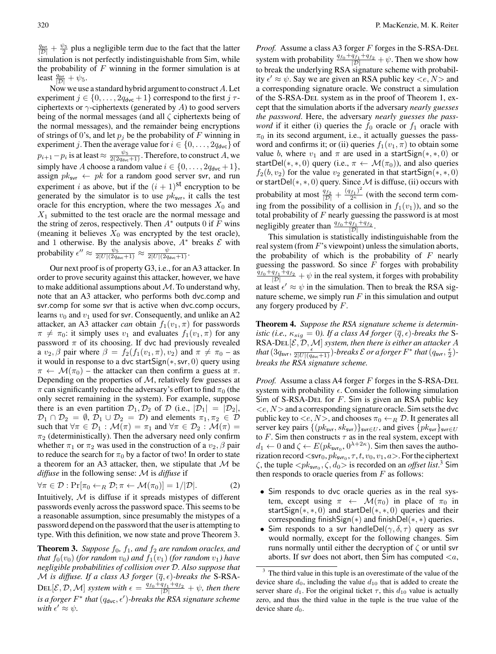$\frac{q_{\text{svr}}}{|D|} + \frac{\psi_5}{2}$  plus a negligible term due to the fact that the latter simulation is not perfectly indistinguishable from Sim, while the probability of  $F$  winning in the former simulation is at least  $\frac{q_{\text{svr}}}{|D|} + \psi_5$ .

Now we use a standard hybrid argument to construct  $A$ . Let experiment  $j \in \{0, \ldots, 2q_{\text{dvc}} + 1\}$  correspond to the first  $j \tau$ ciphertexts or  $\gamma$ -ciphertexts (generated by A) to good servers being of the normal messages (and all  $\zeta$  ciphertexts being of the normal messages), and the remainder being encryptions of strings of 0's, and let  $p_i$  be the probability of F winning in experiment j. Then the average value for  $i \in \{0, \ldots, 2q_{\text{dvc}}\}$  of  $p_{i+1}-p_i$  is at least  $\approx \frac{\psi_5}{2(2q_{\sf{dvc}}+1)}$ . Therefore, to construct  $A$ , we simply have A choose a random value  $i \in \{0, \ldots, 2q_{\text{dvc}} + 1\}$ , assign  $pk_{\text{svr}} \leftarrow pk$  for a random good server svr, and run experiment i as above, but if the  $(i + 1)$ <sup>st</sup> encryption to be generated by the simulator is to use  $pk_{\text{svr}}$ , it calls the test oracle for this encryption, where the two messages  $X_0$  and  $X_1$  submitted to the test oracle are the normal message and the string of zeros, respectively. Then  $A^*$  outputs 0 if F wins (meaning it believes  $X_0$  was encrypted by the test oracle), and 1 otherwise. By the analysis above,  $A^*$  breaks  $\mathcal E$  with probability  $\epsilon'' \approx \frac{\psi_5}{2|U|(2q_{\text{dvc}}+1)} \approx \frac{\psi}{2|U|(2q_{\text{dvc}}+1)}$ .

Our next proof is of property G3, i.e., for an A3 attacker. In order to prove security against this attacker, however, we have to make additional assumptions about  $M$ . To understand why, note that an A3 attacker, who performs both dvc.comp and svr.comp for some svr that is active when dvc.comp occurs, learns  $v_0$  and  $v_1$  used for svr. Consequently, and unlike an A2 attacker, an A3 attacker *can* obtain  $f_1(v_1, \pi)$  for passwords  $\pi \neq \pi_0$ : it simply uses  $v_1$  and evaluates  $f_1(v_1, \pi)$  for any password  $\pi$  of its choosing. If dvc had previously revealed a  $v_2$ ,  $\beta$  pair where  $\beta = f_2(f_1(v_1, \pi), v_2)$  and  $\pi \neq \pi_0$  – as it would in response to a dvc startSign( $\ast$ , svr, 0) query using  $\pi \leftarrow \mathcal{M}(\pi_0)$  – the attacker can then confirm a guess at  $\pi$ . Depending on the properties of  $M$ , relatively few guesses at  $\pi$  can significantly reduce the adversary's effort to find  $\pi_0$  (the only secret remaining in the system). For example, suppose there is an even partition  $\mathcal{D}_1, \mathcal{D}_2$  of  $\mathcal{D}$  (i.e.,  $|\mathcal{D}_1| = |\mathcal{D}_2|$ ,  $\mathcal{D}_1 \cap \mathcal{D}_2 = \emptyset$ ,  $\mathcal{D}_1 \cup \mathcal{D}_2 = \mathcal{D}$  and elements  $\pi_1, \pi_2 \in \mathcal{D}$ such that  $\forall \pi \in \mathcal{D}_1 : \mathcal{M}(\pi) = \pi_1$  and  $\forall \pi \in \mathcal{D}_2 : \mathcal{M}(\pi) =$  $\pi_2$  (deterministically). Then the adversary need only confirm whether  $\pi_1$  or  $\pi_2$  was used in the construction of a  $v_2$ ,  $\beta$  pair to reduce the search for  $\pi_0$  by a factor of two! In order to state a theorem for an A3 attacker, then, we stipulate that  $\mathcal M$  be *diffuse* in the following sense: M is *diffuse* if

$$
\forall \pi \in \mathcal{D} : \Pr[\pi_0 \leftarrow_R \mathcal{D}; \pi \leftarrow \mathcal{M}(\pi_0)] = 1/|\mathcal{D}|.
$$
 (2)

Intuitively,  $M$  is diffuse if it spreads mistypes of different passwords evenly across the password space. This seems to be a reasonable assumption, since presumably the mistypes of a password depend on the password that the user is attempting to type. With this definition, we now state and prove Theorem 3.

**Theorem 3.** *Suppose*  $f_0$ ,  $f_1$ , and  $f_2$  are random oracles, and *that*  $f_0(v_0)$  *(for random*  $v_0$ *) and*  $f_1(v_1)$  *(for random*  $v_1$ *) have negligible probabilities of collision over* D*. Also suppose that* M *is diffuse. If a class A3 forger*  $(\overline{q}, \epsilon)$ -breaks the S-RSA- $\text{DEL}[\mathcal{E}, \mathcal{D}, \mathcal{M}]$  *system with*  $\epsilon = \frac{q_{f_0} + q_{f_1} + q_{f_2}}{|\mathcal{D}|} + \psi$ *, then there is a forger* F<sup>∗</sup> *that* (qdvc, )*-breaks the RSA signature scheme with*  $\epsilon' \approx \psi$ .

*Proof.* Assume a class A3 forger F forges in the S-RSA-DEL system with probability  $\frac{q_{f_0}+q_{f_1}+q_{f_2}}{|\mathcal{D}|} + \psi$ . Then we show how to break the underlying RSA signature scheme with probability  $\epsilon' \approx \psi$ . Say we are given an RSA public key  $\langle e, N \rangle$  and a corresponding signature oracle. We construct a simulation of the S-RSA-Del system as in the proof of Theorem 1, except that the simulation aborts if the adversary *nearly guesses the password*. Here, the adversary *nearly guesses the password* if it either (i) queries the  $f_0$  oracle or  $f_1$  oracle with  $\pi_0$  in its second argument, i.e., it actually guesses the password and confirms it; or (ii) queries  $f_1(v_1, \pi)$  to obtain some value b, where  $v_1$  and  $\pi$  are used in a startSign(\*, \*, 0) or startDel(\*, \*, 0) query (i.e.,  $\pi \leftarrow \mathcal{M}(\pi_0)$ ), and also queries  $f_2(b, v_2)$  for the value  $v_2$  generated in that startSign(\*,\*,0) or startDel( $*,*,0$ ) query. Since M is diffuse, (ii) occurs with probability at most  $\frac{q_{f_2}}{|\mathcal{D}|} + \frac{(q_{f_1})^2}{2^{\kappa}}$  (with the second term coming from the possibility of a collision in  $f_1(v_1)$ ), and so the total probability of  $F$  nearly guessing the password is at most negligibly greater than  $\frac{q_{f_0}+q_{f_1}+q_{f_2}}{|\mathcal{D}|}$ .

This simulation is statistically indistinguishable from the real system (from F's viewpoint) unless the simulation aborts, the probability of which is the probability of  $F$  nearly guessing the password. So since  $F$  forges with probability guessing the password. So since F forges with probability  $\frac{q_{f_0}+q_{f_1}+q_{f_2}}{|\mathcal{D}|} + \psi$  in the real system, it forges with probability at least  $\epsilon' \approx \psi$  in the simulation. Then to break the RSA signature scheme, we simply run  $F$  in this simulation and output any forgery produced by F.

**Theorem 4.** *Suppose the RSA signature scheme is deterministic (i.e.,*  $\kappa_{sig} = 0$ *). If a class A4 forger*  $(\overline{q}, \epsilon)$ *-breaks the* S- $RSA-DEL[\mathcal{E}, \mathcal{D}, \mathcal{M}]$  *system, then there is either an attacker*  $A$ *that*  $(3q_{\text{svr}}, \frac{\epsilon}{2|U|(q_{\text{dvc}}+1)})$ *-breaks*  $\mathcal E$  *or a forger*  $F^*$  *that*  $(q_{\text{svr}}, \frac{\epsilon}{2})$ *breaks the RSA signature scheme.*

*Proof.* Assume a class A4 forger F forges in the S-RSA-DEL system with probability  $\epsilon$ . Consider the following simulation Sim of S-RSA-DEL for  $F$ . Sim is given an RSA public key  $\langle e, N \rangle$  and a corresponding signature oracle. Sim sets the dvc public key to  $\langle e, N \rangle$ , and chooses  $\pi_0 \leftarrow_R \mathcal{D}$ . It generates all server key pairs  $\{(pk_{\text{svr}}, sk_{\text{svr}})\}_{\text{svr} \in U}$ , and gives  $\{pk_{\text{svr}}\}_{\text{svr} \in U}$ to F. Sim then constructs  $\tau$  as in the real system, except with  $d_1 \leftarrow 0$  and  $\zeta \leftarrow E(pk_{\text{svr}_0}, 0^{\lambda + 2\kappa})$ . Sim then saves the authorization record  $<$ svr $_0$ ,  $pk_{\mathsf{svr}_0}$ ,  $\tau$ ,  $t$ ,  $v_0$ ,  $v_1$ ,  $a$  $>$ . For the ciphertext  $\zeta$ , the tuple  $\langle pk_{\mathsf{svr}_0}, \zeta, d_0 \rangle$  is recorded on an *offset list*.<sup>3</sup> Sim then responds to oracle queries from  $F$  as follows:

- Sim responds to dvc oracle queries as in the real system, except using  $\pi \leftarrow \mathcal{M}(\pi_0)$  in place of  $\pi_0$  in startSign( $*,*,0$ ) and startDel( $*,*,0$ ) queries and their corresponding finishSign(∗) and finishDel(∗, ∗) queries.
- Sim responds to a svr handleDel( $\gamma$ ,  $\delta$ ,  $\tau$ ) query as svr would normally, except for the following changes. Sim runs normally until either the decryption of  $\zeta$  or until svr aborts. If svr does not abort, then Sim has computed  $,$

<sup>&</sup>lt;sup>3</sup> The third value in this tuple is an overestimate of the value of the device share  $d_0$ , including the value  $d_{10}$  that is added to create the server share  $d_1$ . For the original ticket  $\tau$ , this  $d_{10}$  value is actually zero, and thus the third value in the tuple is the true value of the device share  $d_0$ .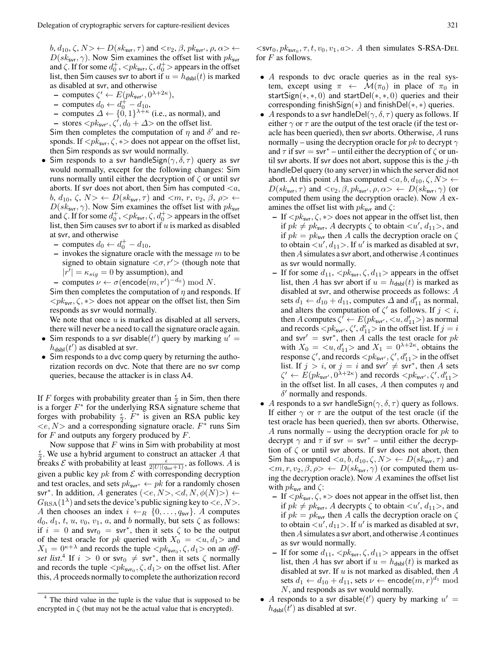$b, d_{10}, \zeta, N \rangle \leftarrow D(sk_{\text{svr}}, \tau)$  and  $\langle v_2, \beta, pk_{\text{svr}}, \rho, \alpha \rangle \leftarrow$  $D(s k_{\text{svr}}, \gamma)$ . Now Sim examines the offset list with  $pk_{\text{svr}}$ and  $\zeta$ . If for some  $d_0^+$ ,  $\langle pk_{\text{svr}}, \zeta, d_0^+$   $\rangle$  appears in the offset list, then Sim causes svr to abort if  $u = h_{dsbl}(t)$  is marked as disabled at svr, and otherwise

- **–** computes  $\zeta' \leftarrow E(pk_{\text{svr}'}, 0^{\lambda+2\kappa}),$
- **−** computes  $d_0 \leftarrow d_0^+ d_{10}$ ,
- **–** computes  $\overrightarrow{\Delta}$  ←  $\{0, 1\}^{\lambda+\kappa}$  (i.e., as normal), and
- **−** stores  $\langle pk_{\text{svr}}$ ,  $\zeta$ ,  $d_0 + \Delta$  on the offset list.

Sim then completes the computation of  $\eta$  and  $\delta'$  and responds. If  $\langle pk_{\rm svr}, \zeta, \star \rangle$  does not appear on the offset list, then Sim responds as svr would normally.

- Sim responds to a svr handleSign( $\gamma$ ,  $\delta$ ,  $\tau$ ) query as svr would normally, except for the following changes: Sim runs normally until either the decryption of  $\zeta$  or until svr aborts. If svr does not abort, then Sim has computed  $\langle a, \rangle$  $b, d_{10}, \zeta, N \rangle \leftarrow D(sk_{\text{svr}}, \tau)$  and  $\langle m, r, v_2, \beta, \rho \rangle \leftarrow$  $D(s k<sub>svr</sub>, \gamma)$ . Now Sim examines the offset list with  $pk<sub>svr</sub>$ and  $\zeta$ . If for some  $d_0^+$ ,  $\langle pk_{\text{svr}}, \zeta, d_0^+$  > appears in the offset list, then Sim causes svr to abort if  $u$  is marked as disabled at svr, and otherwise
	- $\blacksquare$  computes  $d_0 \leftarrow d_0^+ d_{10}$ ,
	- **–** invokes the signature oracle with the message m to be signed to obtain signature  $\langle \sigma, r' \rangle$  (though note that  $|r'| = \kappa_{sig} = 0$  by assumption), and
	- **–** computes  $\nu \leftarrow \sigma$  (encode $(m, r')^{-d_0}$ ) mod N.

Sim then completes the computation of  $\eta$  and responds. If  $\langle p k_{\text{svr}}, \zeta, \star \rangle$  does not appear on the offset list, then Sim responds as svr would normally.

We note that once  $u$  is marked as disabled at all servers, there will never be a need to call the signature oracle again.

- Sim responds to a svr disable(t') query by marking  $u' =$  $h_{\text{dsb}}(t')$  as disabled at svr.
- Sim responds to a dvc comp query by returning the authorization records on dvc. Note that there are no svr comp queries, because the attacker is in class A4.

If F forges with probability greater than  $\frac{\epsilon}{2}$  in Sim, then there is a forger  $F^*$  for the underlying RSA signature scheme that forges with probability  $\frac{\epsilon}{2}$ .  $F^*$  is given an RSA public key  $\langle e, N \rangle$  and a corresponding signature oracle.  $F^*$  runs Sim for  $F$  and outputs any forgery produced by  $F$ .

Now suppose that  $F$  wins in Sim with probability at most  $\frac{\epsilon}{2}$ . We use a hybrid argument to construct an attacker A that breaks  $\mathcal E$  with probability at least  $\frac{\epsilon}{2|U|(q_{\text{sv}}+1)}$ , as follows. A is given a public key  $pk$  from  $\mathcal E$  with corresponding decryption and test oracles, and sets  $pk_{\mathsf{svr}^*} \leftarrow pk$  for a randomly chosen svr<sup>\*</sup>. In addition, A generates ( $\langle e, N \rangle, \langle d, N, \phi(N) \rangle$ ) ←  $G_{\text{RSA}}(1^{\lambda})$  and sets the device's public signing key to  $\lt e, N$ . A then chooses an index  $i \leftarrow_R \{0, \ldots, q_{\text{svr}}\}$ . A computes  $d_0, d_1, t, u, v_0, v_1, a$ , and b normally, but sets  $\zeta$  as follows: if  $i = 0$  and svr<sub>0</sub> = svr<sup>\*</sup>, then it sets  $\zeta$  to be the output of the test oracle for pk queried with  $X_0 = \langle u, d_1 \rangle$  and  $X_1 = 0^{k+\lambda}$  and records the tuple  $\langle pk_{\text{svr}_0}, \zeta, d_1 \rangle$  on an *offset list*.<sup>4</sup> If  $i > 0$  or svr<sub>0</sub>  $\neq$  svr<sup>\*</sup>, then it sets  $\zeta$  normally and records the tuple  $\langle pk_{\text{svr}_0}, \zeta, d_1 \rangle$  on the offset list. After this, A proceeds normally to complete the authorization record

 $\langle svr_0, pk_{svr_0}, \tau, t, v_0, v_1, a \rangle$ . A then simulates S-RSA-DEL for  $F$  as follows.

- A responds to dvc oracle queries as in the real system, except using  $\pi \leftarrow \mathcal{M}(\pi_0)$  in place of  $\pi_0$  in startSign( $*,*,0$ ) and startDel( $*,*,0$ ) queries and their corresponding finishSign(∗) and finishDel(∗, ∗) queries.
- A responds to a svr handleDel( $\gamma$ ,  $\delta$ ,  $\tau$ ) query as follows. If either  $\gamma$  or  $\tau$  are the output of the test oracle (if the test oracle has been queried), then svr aborts. Otherwise, A runs normally – using the decryption oracle for pk to decrypt  $\gamma$ and  $\tau$  if svr = svr<sup>\*</sup> – until either the decryption of  $\zeta$  or until svr aborts. If svr does not abort, suppose this is the  $j$ -th handleDel query (to any server) in which the server did not abort. At this point A has computed  $\langle a, b, d_{10}, \zeta, N \rangle \leftarrow$  $D(sk_{\text{svr}}, \tau)$  and  $\langle v_2, \beta, pk_{\text{svr}}, \rho, \alpha \rangle \leftarrow D(sk_{\text{svr}}, \gamma)$  (or computed them using the decryption oracle). Now A examines the offset list with  $pk_{\text{svr}}$  and  $\zeta$ :
	- **−** If  $\langle pk_{\text{svr}}, \zeta, * \rangle$  does not appear in the offset list, then if  $pk \neq pk_{\text{svr}}$ , A decrypts  $\zeta$  to obtain  $\langle u', d_{11} \rangle$ , and if  $pk = pk_{\text{svr}}$  then A calls the decryption oracle on  $\zeta$ to obtain  $\langle u', d_{11} \rangle$ . If u' is marked as disabled at svr, then  $A$  simulates a svr abort, and otherwise  $A$  continues as svr would normally.
	- **–** If for some  $d_{11}$ ,  $\langle pk_{\text{svr}}, \zeta, d_{11} \rangle$  appears in the offset list, then A has svr abort if  $u = h_{dsbl}(t)$  is marked as disabled at svr, and otherwise proceeds as follows: A sets  $d_1 \leftarrow d_{10} + d_{11}$ , computes  $\Delta$  and  $d'_{11}$  as normal, and alters the computation of  $\zeta'$  as follows. If  $j < i$ , then A computes  $\zeta' \leftarrow E(p k_{\mathsf{svr}'}, \langle u, d'_{11} \rangle)$  as normal and records  $\langle pk_{\text{svr}}^{\prime}, \zeta^{\prime}, d_{11}^{\prime}\rangle$  in the offset list. If  $j = i$ and svr' = svr<sup>\*</sup>, then A calls the test oracle for pk with  $X_0 = \langle u, d'_{11} \rangle$  and  $X_1 = 0^{\lambda + 2\kappa}$ , obtains the response  $\zeta'$ , and records  $\langle pk_{\text{svr}'}, \zeta', d'_{11}\rangle$  in the offset list. If  $j > i$ , or  $j = i$  and svr'  $\neq$  svr<sup>\*</sup>, then A sets  $\zeta' \leftarrow E(pk_{\mathsf{svr}'}, 0^{\lambda+2\kappa})$  and records  $\langle pk_{\mathsf{svr}'}, \zeta', d'_{11} \rangle$ in the offset list. In all cases, A then computes  $\eta$  and  $\delta'$  normally and responds.
- A responds to a svr handle Sign( $\gamma$ ,  $\delta$ ,  $\tau$ ) query as follows. If either  $\gamma$  or  $\tau$  are the output of the test oracle (if the test oracle has been queried), then svr aborts. Otherwise, A runs normally – using the decryption oracle for  $pk$  to decrypt  $\gamma$  and  $\tau$  if svr = svr<sup>\*</sup> – until either the decryption of  $\zeta$  or until svr aborts. If svr does not abort, then Sim has computed  $\langle a, b, d_{10}, \zeta, N \rangle \leftarrow D(s k_{\text{svr}}, \tau)$  and  $\langle m, r, v_2, \beta, \rho \rangle \leftarrow D(s k_{\text{svr}}, \gamma)$  (or computed them using the decryption oracle). Now  $A$  examines the offset list with  $pk_{\text{svr}}$  and  $\zeta$ :
	- **−** If  $\langle pk_{\text{svr}}, \zeta, * \rangle$  does not appear in the offset list, then if  $pk \neq pk_{\text{svr}}$ , A decrypts  $\zeta$  to obtain  $\langle u', d_{11} \rangle$ , and if  $pk = pk_{\text{svr}}$  then A calls the decryption oracle on  $\zeta$ to obtain  $\langle u', d_{11} \rangle$ . If  $u'$  is marked as disabled at svr, then  $A$  simulates a svr abort, and otherwise  $A$  continues as svr would normally.
	- **–** If for some  $d_{11}$ ,  $\langle pk_{\text{svr}}, \zeta, d_{11} \rangle$  appears in the offset list, then A has svr abort if  $u = h_{\text{dsbl}}(t)$  is marked as disabled at svr. If  $u$  is not marked as disabled, then  $A$ sets  $d_1 \leftarrow d_{10} + d_{11}$ , sets  $\nu \leftarrow \text{encode}(m, r)^{d_1} \text{ mod }$ N, and responds as svr would normally.
- A responds to a svr disable(t') query by marking  $u' =$  $h_{\text{dsbl}}(t')$  as disabled at svr.

<sup>4</sup> The third value in the tuple is the value that is supposed to be encrypted in  $\zeta$  (but may not be the actual value that is encrypted).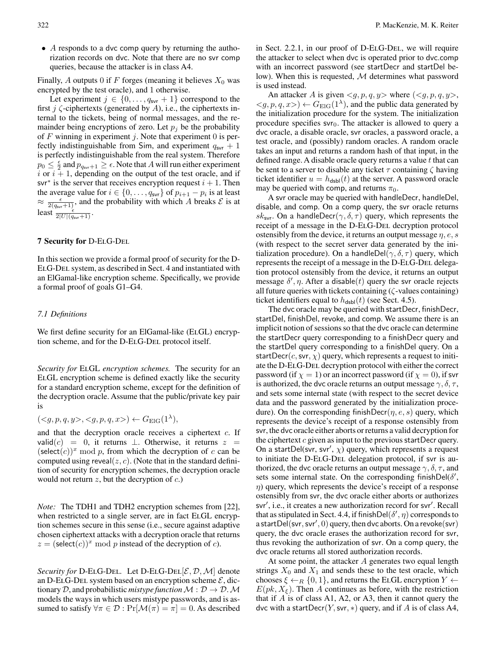• A responds to a dvc comp query by returning the authorization records on dvc. Note that there are no svr comp queries, because the attacker is in class A4.

Finally, A outputs 0 if F forges (meaning it believes  $X_0$  was encrypted by the test oracle), and 1 otherwise.

Let experiment  $j \in \{0, \ldots, q_{\text{svr}} + 1\}$  correspond to the first  $j \, \zeta$ -ciphertexts (generated by A), i.e., the ciphertexts internal to the tickets, being of normal messages, and the remainder being encryptions of zero. Let  $p_i$  be the probability of  $F$  winning in experiment j. Note that experiment 0 is perfectly indistinguishable from Sim, and experiment  $q_{\text{svr}} + 1$ is perfectly indistinguishable from the real system. Therefore  $p_0 \leq \frac{\epsilon}{2}$  and  $p_{q_{\text{svr}}+1} \geq \epsilon$ . Note that A will run either experiment i or  $i + 1$ , depending on the output of the test oracle, and if svr<sup>\*</sup> is the server that receives encryption request  $i + 1$ . Then the average value for  $i \in \{0, \ldots, q_{\text{svr}}\}$  of  $p_{i+1} - p_i$  is at least  $\approx \frac{\epsilon}{2(q_{\text{svr}}+1)}$ , and the probability with which A breaks  $\mathcal{E}$  is at least  $\frac{e}{2|U|(q_{\text{svr}}+1)}$ .

# **7 Security for** D-ElG-Del

In this section we provide a formal proof of security for the D-ElG-Del system, as described in Sect. 4 and instantiated with an ElGamal-like encryption scheme. Specifically, we provide a formal proof of goals G1–G4.

## *7.1 Definitions*

We first define security for an ElGamal-like (ELGL) encryption scheme, and for the D-ElG-Del protocol itself.

*Security for* ElGL *encryption schemes.* The security for an ElGL encryption scheme is defined exactly like the security for a standard encryption scheme, except for the definition of the decryption oracle. Assume that the public/private key pair is

 $(, ) \leftarrow G_{\text{ElG}}(1^{\lambda}),$ 

and that the decryption oracle receives a ciphertext  $c$ . If valid $(c) = 0$ , it returns ⊥. Otherwise, it returns  $z =$  $(\text{select}(c))^x$  mod p, from which the decryption of c can be computed using reveal $(z, c)$ . (Note that in the standard definition of security for encryption schemes, the decryption oracle would not return  $z$ , but the decryption of  $c$ .)

*Note:* The TDH1 and TDH2 encryption schemes from [22], when restricted to a single server, are in fact ELGL encryption schemes secure in this sense (i.e., secure against adaptive chosen ciphertext attacks with a decryption oracle that returns  $z = (select(c))^x \mod p$  instead of the decryption of c).

*Security for* D-ELG-DEL. Let D-ELG-DEL $[\mathcal{E}, \mathcal{D}, \mathcal{M}]$  denote an D-ELG-DEL system based on an encryption scheme  $\mathcal{E}$ , dictionary D, and probabilistic *mistype function*  $M: \mathcal{D} \rightarrow \mathcal{D}$ . M models the ways in which users mistype passwords, and is assumed to satisfy  $\forall \pi \in \mathcal{D} : \Pr[\mathcal{M}(\pi) = \pi] = 0$ . As described

in Sect. 2.2.1, in our proof of D-ElG-Del, we will require the attacker to select when dvc is operated prior to dvc.comp with an incorrect password (see startDecr and startDel below). When this is requested, M determines what password is used instead.

An attacker A is given  $\langle q, p, q, y \rangle$  where  $(\langle q, p, q, y \rangle,$  $\langle g, p, q, x \rangle \leftarrow G_{\text{EIG}}(1^{\lambda})$ , and the public data generated by the initialization procedure for the system. The initialization procedure specifies  $svr_0$ . The attacker is allowed to query a dvc oracle, a disable oracle, svr oracles, a password oracle, a test oracle, and (possibly) random oracles. A random oracle takes an input and returns a random hash of that input, in the defined range. A disable oracle query returns a value  $t$  that can be sent to a server to disable any ticket  $\tau$  containing  $\zeta$  having ticket identifier  $u = h_{\text{dsbl}}(t)$  at the server. A password oracle may be queried with comp, and returns  $\pi_0$ .

A svr oracle may be queried with handleDecr, handleDel, disable, and comp. On a comp query, the svr oracle returns sk<sub>svr</sub>. On a handleDecr( $\gamma$ ,  $\delta$ ,  $\tau$ ) query, which represents the receipt of a message in the D-ElG-Del decryption protocol ostensibly from the device, it returns an output message  $\eta$ ,  $e$ , s (with respect to the secret server data generated by the initialization procedure). On a handleDel( $\gamma$ ,  $\delta$ ,  $\tau$ ) query, which represents the receipt of a message in the D-ElG-Del delegation protocol ostensibly from the device, it returns an output message  $\delta'$ ,  $\eta$ . After a disable(t) query the svr oracle rejects all future queries with tickets containing (ζ-values containing) ticket identifiers equal to  $h_{\text{dsbl}}(t)$  (see Sect. 4.5).

The dvc oracle may be queried with startDecr, finishDecr, startDel, finishDel, revoke, and comp. We assume there is an implicit notion of sessions so that the dvc oracle can determine the startDecr query corresponding to a finishDecr query and the startDel query corresponding to a finishDel query. On a startDecr(c, svr,  $\chi$ ) query, which represents a request to initiate the D-ElG-Del decryption protocol with either the correct password (if  $\chi = 1$ ) or an incorrect password (if  $\chi = 0$ ), if svr is authorized, the dvc oracle returns an output message  $\gamma$ ,  $\delta$ ,  $\tau$ , and sets some internal state (with respect to the secret device data and the password generated by the initialization procedure). On the corresponding finishDecr( $\eta$ , e, s) query, which represents the device's receipt of a response ostensibly from svr, the dvc oracle either aborts or returns a valid decryption for the ciphertext  $c$  given as input to the previous startDecr query. On a startDel(svr, svr',  $\chi$ ) query, which represents a request to initiate the D-ElG-Del delegation protocol, if svr is authorized, the dvc oracle returns an output message  $\gamma$ ,  $\delta$ ,  $\tau$ , and sets some internal state. On the corresponding finishDel( $\delta'$ ,  $\eta$ ) query, which represents the device's receipt of a response ostensibly from svr, the dvc oracle either aborts or authorizes svr , i.e., it creates a new authorization record for svr . Recall that as stipulated in Sect. 4.4, if finish Del $(\delta', \eta)$  corresponds to a startDel(svr, svr', 0) query, then dvc aborts. On a revoke(svr) query, the dvc oracle erases the authorization record for svr, thus revoking the authorization of svr. On a comp query, the dvc oracle returns all stored authorization records.

At some point, the attacker A generates two equal length strings  $X_0$  and  $X_1$  and sends these to the test oracle, which chooses  $\xi \leftarrow_R \{0, 1\}$ , and returns the ELGL encryption  $Y \leftarrow$  $E(pk, X_{\xi})$ . Then A continues as before, with the restriction that if  $\vec{A}$  is of class A1, A2, or A3, then it cannot query the dvc with a startDecr(Y, svr,  $\ast$ ) query, and if A is of class A4,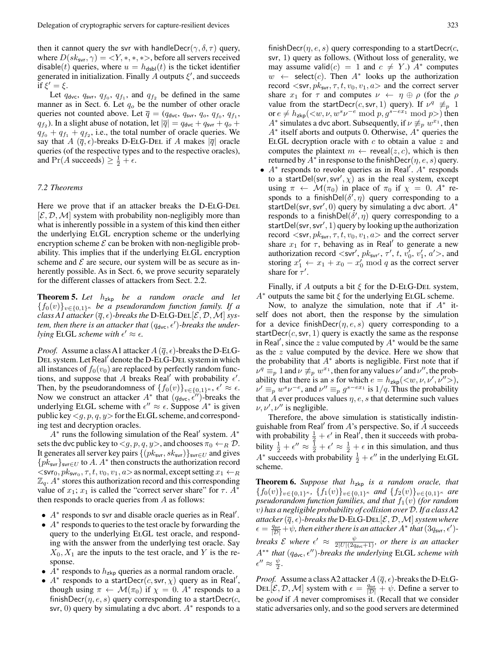then it cannot query the svr with handleDecr( $\gamma$ ,  $\delta$ ,  $\tau$ ) query, where  $D(s k_{\text{svr}}, \gamma) = \langle Y, \ast, \ast, \ast \rangle$ , before all servers received disable(t) queries, where  $u = h_{\text{dsbl}}(t)$  is the ticket identifier generated in initialization. Finally  $A$  outputs  $\xi'$ , and succeeds if  $\xi' = \xi$ .

Let  $q_{\text{dyc}}$ ,  $q_{\text{svr}}$ ,  $q_{f0}$ ,  $q_{f1}$ , and  $q_{f2}$  be defined in the same manner as in Sect. 6. Let  $q_o$  be the number of other oracle queries not counted above. Let  $\overline{q} = (q_{\text{dyc}}, q_{\text{svr}}, q_o, q_{f_0}, q_{f_1},$  $q_{f_2}$ ). In a slight abuse of notation, let  $|\overline{q}| = q_{\text{dvc}} + q_{\text{svr}} + q_o +$  $q_{f0} + q_{f1} + q_{f2}$ , i.e., the total number of oracle queries. We say that  $A(\overline{q}, \epsilon)$ -breaks D-ELG-DEL if A makes  $|\overline{q}|$  oracle queries (of the respective types and to the respective oracles), and  $Pr(A \text{ succeeds}) \geq \frac{1}{2} + \epsilon$ .

# *7.2 Theorems*

Here we prove that if an attacker breaks the D-ElG-Del  $[\mathcal{E}, \mathcal{D}, \mathcal{M}]$  system with probability non-negligibly more than what is inherently possible in a system of this kind then either the underlying ElGL encryption scheme or the underlying encryption scheme  $\mathcal E$  can be broken with non-negligible probability. This implies that if the underlying ElGL encryption scheme and  $\mathcal E$  are secure, our system will be as secure as inherently possible. As in Sect. 6, we prove security separately for the different classes of attackers from Sect. 2.2.

**Theorem 5.** *Let* hzkp *be a random oracle and let*  ${f_0(v)}_{v \in \{0,1\}^{\kappa}}$  *be a pseudorandom function family. If a class A1 attacker*  $(\overline{q}, \epsilon)$ -breaks the D-ELG-DEL[ $\mathcal{E}, \mathcal{D}, \mathcal{M}$ ] *sys*tem, then there is an attacker that  $(q_{\text{dvc}}, \epsilon')$ -breaks the under*lying* ELGL *scheme with*  $\epsilon' \approx \epsilon$ .

*Proof.* Assume a class A1 attacker  $A(\overline{q}, \epsilon)$ -breaks the D-ELG-DEL system. Let Real' denote the D-ELG-DEL system in which all instances of  $f_0(v_0)$  are replaced by perfectly random functions, and suppose that A breaks Real' with probability  $\epsilon'$ . Then, by the pseudorandomness of  $\{f_0(v)\}_{v\in\{0,1\}^{\kappa}}$ ,  $\epsilon' \approx \epsilon$ . Now we construct an attacker  $A^*$  that  $(q_{\text{dyc}}, \tilde{\epsilon}'')$ -breaks the underlying ELGL scheme with  $\epsilon'' \approx \epsilon$ . Suppose  $A^*$  is given public key  $\leq g, p, q, y$  for the ELGL scheme, and corresponding test and decryption oracles.

 $A^*$  runs the following simulation of the Real' system.  $A^*$ sets the dvc public key to  $\langle g, p, q, y \rangle$ , and chooses  $\pi_0 \leftarrow_R \mathcal{D}$ . It generates all server key pairs  $\{(pk_{\text{svr}}, sk_{\text{svr}})\}_{\text{svr} \in U}$  and gives  ${pk_{\text{svr}}}_{\text{svr} \to U}$  to A. A<sup>\*</sup> then constructs the authorization record  $\langle \textsf{svr}_0, \textit{pk}_{\textsf{svr}_0}, \tau, t, v_0, v_1, a \rangle$  as normal, except setting  $x_1 \leftarrow_R$  $\mathbb{Z}_a$ . A<sup>\*</sup> stores this authorization record and this corresponding value of  $x_1$ ;  $x_1$  is called the "correct server share" for  $\tau$ .  $A^*$ then responds to oracle queries from  $A$  as follows:

- $A^*$  responds to svr and disable oracle queries as in Real'.
- $A^*$  responds to queries to the test oracle by forwarding the query to the underlying ELGL test oracle, and responding with the answer from the underlying test oracle. Say  $X_0, X_1$  are the inputs to the test oracle, and Y is the response.
- $A^*$  responds to  $h_{\mathsf{zkp}}$  queries as a normal random oracle.
- $A^*$  responds to a startDecr(c, svr,  $\chi$ ) query as in Real', though using  $\pi \leftarrow \mathcal{M}(\pi_0)$  if  $\chi = 0$ . A<sup>\*</sup> responds to a finishDecr(*n, e, s*) query corresponding to a startDecr(*c*, svr, 0) query by simulating a dvc abort.  $A^*$  responds to a

finishDecr( $\eta$ ,  $e$ ,  $s$ ) query corresponding to a startDecr( $c$ , svr, 1) query as follows. (Without loss of generality, we may assume valid $(c) = 1$  and  $c \neq Y$ .)  $A^*$  computes  $w \leftarrow$  select(c). Then  $A^*$  looks up the authorization record  $\langle$ svr,  $pk_{\text{svr}}, \tau, t, v_0, v_1, a \rangle$  and the correct server share  $x_1$  for  $\tau$  and computes  $\nu \leftarrow \eta \oplus \rho$  (for the  $\rho$ value from the startDecr(c, svr, 1) query). If  $\nu^q \not\equiv_p 1$ or  $e \neq h_{\mathsf{zkp}}(\langle w, \nu, w^s \nu^{-e} \bmod p, g^{s-ex_1} \bmod p \rangle)$  then A<sup>\*</sup> simulates a dvc abort. Subsequently, if  $\nu \neq_p w^{x_1}$ , then A<sup>∗</sup> itself aborts and outputs 0. Otherwise, A<sup>∗</sup> queries the ELGL decryption oracle with  $c$  to obtain a value  $z$  and computes the plaintext  $m \leftarrow \text{reveal}(z, c)$ , which is then returned by  $A^*$  in response to the finishDecr( $\eta$ ,  $e$ ,  $s$ ) query.

•  $A^*$  responds to revoke queries as in Real'.  $A^*$  responds to a startDel(svr, svr',  $\chi$ ) as in the real system, except using  $\pi \leftarrow \mathcal{M}(\pi_0)$  in place of  $\pi_0$  if  $\chi = 0$ . A<sup>\*</sup> responds to a finish  $\text{Del}(\delta', \eta)$  query corresponding to a startDel(svr, svr', 0) query by simulating a dvc abort.  $A^*$ responds to a finishDel $(\delta', \eta)$  query corresponding to a startDel(svr, svr', 1) query by looking up the authorization record  $\langle$ svr,  $pk_{\text{svr}}, \tau, t, v_0, v_1, a \rangle$  and the correct server share  $x_1$  for  $\tau$ , behaving as in Real' to generate a new authorization record  $\langle \text{svr}', \, \text{pk}_{\text{svr}'}, \tau', \, t, \, v'_0, \, v'_1, \, a' \rangle$ , and storing  $x'_1 \leftarrow x_1 + x_0 - x'_0 \mod q$  as the correct server share for  $\tau'$ .

Finally, if A outputs a bit  $\xi$  for the D-ELG-DEL system,  $A^*$  outputs the same bit  $\xi$  for the underlying ELGL scheme.

Now, to analyze the simulation, note that if  $A^*$  itself does not abort, then the response by the simulation for a device finishDecr $(\eta, e, s)$  query corresponding to a startDecr( $c$ , svr, 1) query is exactly the same as the response in Real', since the z value computed by  $A^*$  would be the same as the z value computed by the device. Here we show that the probability that  $A^*$  aborts is negligible. First note that if  $\nu^q \equiv_p 1$  and  $\nu \not\equiv_p w^{x_1}$ , then for any values  $\nu'$  and  $\nu''$ , the probability that there is an s for which  $e = h_{\mathsf{zkp}}(\langle w, \nu, \nu', \nu'' \rangle)$ ,  $\nu' \equiv_p w^s \nu^{-e}$ , and  $\nu'' \equiv_p g^{s-ex_1}$  is  $1/q$ . Thus the probability that A ever produces values  $\eta$ ,  $e$ ,  $s$  that determine such values  $\nu, \nu', \nu''$  is negligible.

Therefore, the above simulation is statistically indistinguishable from Real' from  $A$ 's perspective. So, if  $A$  succeeds with probability  $\frac{1}{2} + \epsilon'$  in Real<sup> $\ell$ </sup>, then it succeeds with probability  $\frac{1}{2} + \epsilon'' \approx \frac{1}{2} + \epsilon' \approx \frac{1}{2} + \epsilon$  in this simulation, and thus A<sup>\*</sup> succeeds with probability  $\frac{1}{2} + \epsilon''$  in the underlying ELGL scheme.

**Theorem 6.** *Suppose that*  $h_{\text{zkp}}$  *is a random oracle, that*  ${f_0(v)}_{v \in {0,1}^{\kappa}}$ ,  ${f_1(v)}_{v \in {0,1}^{\kappa}}$  *and*  ${f_2(v)}_{v \in {0,1}^{\kappa}}$  *are pseudorandom function families, and that*  $f_1(v)$  *(for random*) v*) has a negligible probability of collision over* D*. If a class A2 attacker*  $(\overline{q}, \epsilon)$ -breaks the D-ELG-DEL[ $\mathcal{E}, \mathcal{D}, \mathcal{M}$ ] system where  $\epsilon = \frac{q_{\text{svr}}}{|D|} + \psi$ , then either there is an attacker  $A^*$  that  $(3q_{\text{svr}}, \epsilon')$ *breaks*  $\mathcal E$  where  $\epsilon' \approx \frac{\psi}{2|U|(2q_{\text{dvc}}+1)}$ , or there is an attacker A∗∗ *that* (qdvc, )*-breaks the underlying* ElGL *scheme with*  $\epsilon'' \approx \frac{\psi}{2}.$ 

*Proof.* Assume a class A2 attacker  $A(\overline{q}, \epsilon)$ -breaks the D-ELG- $\text{DEL}[\mathcal{E}, \mathcal{D}, \mathcal{M}]$  system with  $\epsilon = \frac{q_{\text{svr}}}{|\mathcal{D}|} + \psi$ . Define a server to be *good* if A never compromises it. (Recall that we consider static adversaries only, and so the good servers are determined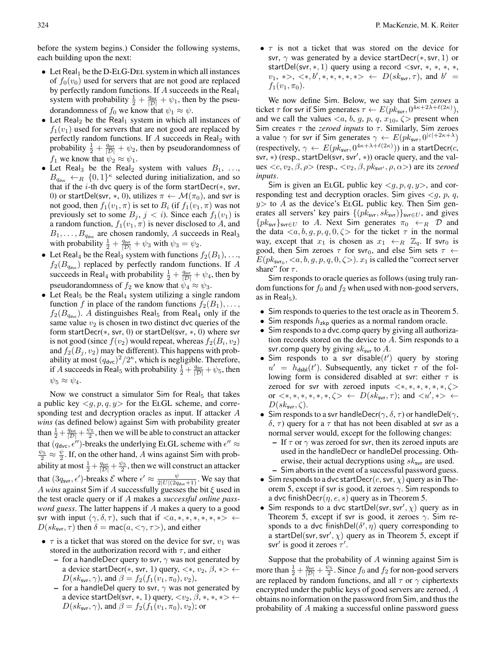before the system begins.) Consider the following systems, each building upon the next:

- Let  $\text{Real}_1$  be the D-ELG-DEL system in which all instances of  $f_0(v_0)$  used for servers that are not good are replaced by perfectly random functions. If  $A$  succeeds in the Real<sub>1</sub> system with probability  $\frac{1}{2} + \frac{q_{\text{svr}}}{|D|} + \psi_1$ , then by the pseudorandomness of  $f_0$  we know that  $\psi_1 \approx \psi$ .
- Let Real<sub>2</sub> be the Real<sub>1</sub> system in which all instances of  $f_1(v_1)$  used for servers that are not good are replaced by perfectly random functions. If  $A$  succeeds in Real<sub>2</sub> with probability  $\frac{1}{2} + \frac{q_{\text{svr}}}{|D|} + \psi_2$ , then by pseudorandomness of  $f_1$  we know that  $\psi_2 \approx \psi_1$ .
- Let Real<sub>3</sub> be the Real<sub>2</sub> system with values  $B_1, \ldots,$  $B_{q_{\text{dyc}}} \leftarrow_R \{0,1\}^{\kappa}$  selected during initialization, and so that if the *i*-th dvc query is of the form startDecr( $*$ , svr, 0) or startDel(svr, \*, 0), utilizes  $\pi \leftarrow \mathcal{M}(\pi_0)$ , and svr is not good, then  $f_1(v_1, \pi)$  is set to  $B_i$  (if  $f_1(v_1, \pi)$  was not previously set to some  $B_j$ ,  $j < i$ ). Since each  $f_1(v_1)$  is a random function,  $f_1(v_1, \pi)$  is never disclosed to A, and  $B_1, \ldots, B_{q_{\text{dyc}}}$  are chosen randomly, A succeeds in Real<sub>3</sub> with probability  $\frac{1}{2} + \frac{q_{\text{svr}}}{|\mathcal{D}|} + \psi_3$  with  $\psi_3 = \psi_2$ .
- Let Real<sub>4</sub> be the Real<sub>3</sub> system with functions  $f_2(B_1), \ldots$  $f_2(B_{q_{\text{dyc}}})$  replaced by perfectly random functions. If A succeeds in Real<sub>4</sub> with probability  $\frac{1}{2} + \frac{q_{\text{svr}}}{|D|} + \psi_4$ , then by pseudorandomness of  $f_2$  we know that  $\psi_4 \approx \psi_3$ .
- Let Real<sub>5</sub> be the Real<sub>4</sub> system utilizing a single random function f in place of the random functions  $f_2(B_1),\ldots$ ,  $f_2(B_{q_{\text{duc}}})$ . A distinguishes Real<sub>5</sub> from Real<sub>4</sub> only if the same value  $v_2$  is chosen in two distinct dvc queries of the form startDecr(∗, svr, 0) or startDel(svr, ∗, 0) where svr is not good (since  $f(v_2)$  would repeat, whereas  $f_2(B_i, v_2)$ ) and  $f_2(B_j, v_2)$  may be different). This happens with probability at most  $(q_{\text{dvc}})^2/2\kappa$ , which is negligible. Therefore, if A succeeds in Real<sub>5</sub> with probability  $\frac{1}{2} + \frac{q_{\text{svr}}}{|D|} + \psi_5$ , then  $\psi_5 \approx \psi_4$ .

Now we construct a simulator  $Sim$  for Real<sub>5</sub> that takes a public key  $\langle q, p, q, y \rangle$  for the ELGL scheme, and corresponding test and decryption oracles as input. If attacker A *wins* (as defined below) against Sim with probability greater than  $\frac{1}{2} + \frac{q_{\text{svr}}}{|D|} + \frac{\psi_5}{2}$ , then we will be able to construct an attacker that  $(q_{\text{dyc}}, \epsilon'')$ -breaks the underlying ELGL scheme with  $\epsilon'' \approx$  $\frac{\psi_5}{2} \approx \frac{\psi}{2}$ . If, on the other hand, A wins against Sim with probability at most  $\frac{1}{2} + \frac{q_{\text{sw}}}{|\mathcal{D}|} + \frac{\psi_5}{2}$ , then we will construct an attacker that  $(3q_{\mathsf{svr}}, \epsilon')$ -breaks  $\mathcal E$  where  $\epsilon' \approx \frac{\psi}{2|U|(2q_{\mathsf{dvc}}+1)}$ . We say that A *wins* against Sim if A successfully guesses the bit ξ used in the test oracle query or if A makes a *successful online password guess*. The latter happens if A makes a query to a good svr with input  $(\gamma, \delta, \tau)$ , such that if  $\langle a, *, *, *, *, *, * \rangle$  $D(s k<sub>svr</sub>, \tau)$  then  $\delta = \text{mac}(a, \langle \gamma, \tau \rangle)$ , and either

- $\tau$  is a ticket that was stored on the device for svr,  $v_1$  was stored in the authorization record with  $\tau$ , and either
	- **–** for a handleDecr query to svr, γ was not generated by a device startDecr(\*, svr, 1) query,  $\langle x, v_2, \beta, x \rangle$  $D(s k<sub>svr</sub>, \gamma)$ , and  $\beta = f_2(f_1(v_1, \pi_0), v_2)$ ,
	- **–** for a handleDel query to svr,  $\gamma$  was not generated by a device startDel(svr, \*, 1) query,  $\langle v_2, \beta, *, *, * \rangle \leftarrow$  $D(sk_{\text{svr}}, \gamma)$ , and  $\beta = f_2(f_1(v_1, \pi_0), v_2)$ ; or

•  $\tau$  is not a ticket that was stored on the device for svr,  $\gamma$  was generated by a device startDecr(\*, svr, 1) or startDel(svr,  $*, 1$ ) query using a record  $\langle$ svr,  $*, *, *,$  $v_1, *>, <*, b', *, *, *, *>, * > \leftarrow D(s k_{\text{svr}}, \tau)$ , and  $b' =$  $f_1(v_1, \pi_0)$ .

We now define Sim. Below, we say that Sim *zeroes* a ticket  $\tau$  for svr if Sim generates  $\tau \leftarrow E(pk_{\text{svr}}, 0^{4\kappa+2\lambda+\ell(2\kappa)}),$ and we call the values  $\langle a, b, g, p, q, x_{10}, \zeta \rangle$  present when Sim creates  $\tau$  the *zeroed inputs* to  $\tau$ . Similarly, Sim zeroes a value  $\gamma$  for svr if Sim generates  $\gamma \leftarrow E(pk_{\text{svr}}, 0^{|c|+2\kappa+\lambda})$ (respectively,  $\gamma \leftarrow E(pk_{\mathsf{svr}}, 0^{4\kappa+\lambda+\ell(2\kappa)}))$  in a startDecr(*c*, svr, \*) (resp., startDel(svr, svr', \*)) oracle query, and the values  $\langle c, v_2, \beta, \rho \rangle$  (resp.,  $\langle v_2, \beta, \gamma v_3 \rangle$ ,  $\rho, \alpha \rangle$ ) are its *zeroed inputs*.

Sim is given an ELGL public key  $\langle g, p, q, y \rangle$ , and corresponding test and decryption oracles. Sim gives  $\langle g, p, q \rangle$  $y>$  to A as the device's ELGL public key. Then Sim generates all servers' key pairs  $\{(pk_{\text{svr}}, sk_{\text{svr}})\}_{\text{svr} \in U}$ , and gives  ${pk<sub>svr</sub>}<sub>svr∈U</sub>$  to A. Next Sim generates  $\pi_0 \leftarrow_R \mathcal{D}$  and the data  $\langle a, b, g, p, q, 0, \zeta \rangle$  for the ticket  $\tau$  in the normal way, except that  $x_1$  is chosen as  $x_1 \leftarrow_R \mathbb{Z}_q$ . If svr<sub>0</sub> is good, then Sim zeroes  $\tau$  for svr<sub>0</sub>, and else Sim sets  $\tau \leftarrow$  $E(pk_{\text{svr}_0}, .  $x_1$  is called the "correct server"$ share" for  $\tau$ .

Sim responds to oracle queries as follows (using truly random functions for  $f_0$  and  $f_2$  when used with non-good servers, as in Real $_5$ ).

- Sim responds to queries to the test oracle as in Theorem 5.
- Sim responds  $h_{\text{zko}}$  queries as a normal random oracle.
- Sim responds to a dvc.comp query by giving all authorization records stored on the device to A. Sim responds to a svr.comp query by giving  $sk_{\text{svr}}$  to A.
- Sim responds to a svr disable( $t'$ ) query by storing  $u' = h_{\text{dsbl}}(t')$ . Subsequently, any ticket  $\tau$  of the following form is considered disabled at svr: either  $\tau$  is zeroed for svr with zeroed inputs  $\langle *, *, *, *, *, *, \rangle$ or  $\langle *, *, *, *, *, *, *, \zeta \rangle \leftarrow D(s_{\text{Sov}}, \tau)$ ; and  $\langle u', * \rangle \leftarrow$  $D(s k_{\mathsf{svr}}, \zeta).$
- Sim responds to a svr handleDecr( $\gamma$ ,  $\delta$ ,  $\tau$ ) or handleDel( $\gamma$ ,  $\delta$ ,  $\tau$ ) query for a  $\tau$  that has not been disabled at svr as a normal server would, except for the following changes:
	- **–** If  $\tau$  or  $\gamma$  was zeroed for svr, then its zeroed inputs are used in the handleDecr or handleDel processing. Otherwise, their actual decryptions using  $sk_{\text{svr}}$  are used. **–** Sim aborts in the event of a successful password guess.
- Sim responds to a dvc startDecr(c, svr,  $\chi$ ) query as in Theorem 5, except if svr is good, it zeroes  $\gamma$ . Sim responds to a dvc finishDecr( $\eta$ ,  $e$ ,  $s$ ) query as in Theorem 5.
- Sim responds to a dvc startDel(svr, svr',  $\chi$ ) query as in Theorem 5, except if svr is good, it zeroes  $\gamma$ . Sim responds to a dvc finishDel( $\delta', \eta$ ) query corresponding to a startDel(svr, svr',  $\chi$ ) query as in Theorem 5, except if svr' is good it zeroes  $\tau'$ .

Suppose that the probability of A winning against Sim is more than  $\frac{1}{2} + \frac{q_{\text{svr}}}{|D|} + \frac{\psi_5}{2}$ . Since  $f_0$  and  $f_2$  for non-good servers are replaced by random functions, and all  $\tau$  or  $\gamma$  ciphertexts encrypted under the public keys of good servers are zeroed, A obtains no information on the password from Sim, and thus the probability of A making a successful online password guess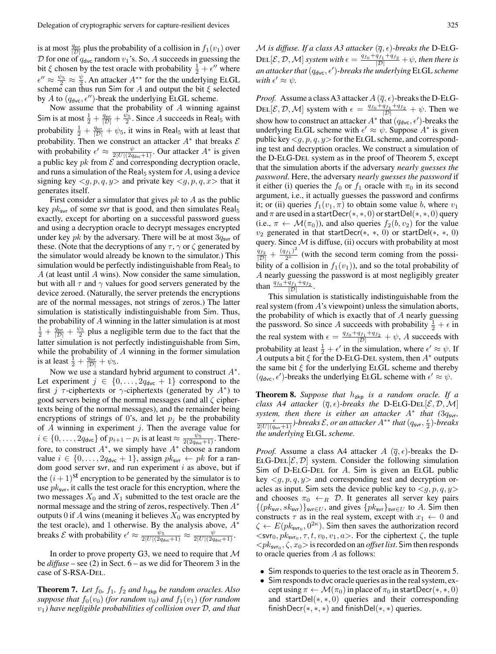is at most  $\frac{q_{\text{svr}}}{|D|}$  plus the probability of a collision in  $f_1(v_1)$  over  $D$  for one of  $q_{\text{dyc}}$  random  $v_1$ 's. So, A succeeds in guessing the bit  $\xi$  chosen by the test oracle with probability  $\frac{1}{2} + \epsilon''$  where  $\epsilon'' \approx \frac{\psi_5}{2} \approx \frac{\psi}{2}$ . An attacker  $A^{**}$  for the the underlying ELGL scheme can thus run Sim for A and output the bit  $\xi$  selected by A to  $(q_{\text{dvc}}, \epsilon'')$ -break the underlying ELGL scheme.

Now assume that the probability of A winning against Sim is at most  $\frac{1}{2} + \frac{q_{\text{svr}}}{|D|} + \frac{\psi_5}{2}$ . Since A succeeds in Real<sub>5</sub> with probability  $\frac{1}{2} + \frac{q_{\text{svr}}}{|D|} + \psi_5$ , it wins in Real<sub>5</sub> with at least that probability. Then we construct an attacker  $A^*$  that breaks  $\mathcal E$ with probability  $\epsilon' \approx \frac{\psi}{2|U|(2q_{\text{dvc}}+1)}$ . Our attacker  $A^*$  is given a public key  $pk$  from  $\mathcal E$  and corresponding decryption oracle, and runs a simulation of the Real<sub>5</sub> system for A, using a device signing key  $\langle g, p, q, y \rangle$  and private key  $\langle g, p, q, x \rangle$  that it generates itself.

First consider a simulator that gives  $pk$  to  $A$  as the public key  $pk_{\text{svr}}$  of some svr that is good, and then simulates Real<sub>5</sub> exactly, except for aborting on a successful password guess and using a decryption oracle to decrypt messages encrypted under key pk by the adversary. There will be at most  $3q_{\text{svr}}$  of these. (Note that the decryptions of any  $\tau$ ,  $\gamma$  or  $\zeta$  generated by the simulator would already be known to the simulator.) This simulation would be perfectly indistinguishable from  $\text{Real}_5$  to A (at least until A wins). Now consider the same simulation, but with all  $\tau$  and  $\gamma$  values for good servers generated by the device zeroed. (Naturally, the server pretends the encryptions are of the normal messages, not strings of zeros.) The latter simulation is statistically indistinguishable from Sim. Thus, the probability of  $A$  winning in the latter simulation is at most  $\frac{1}{2} + \frac{q_{\text{svr}}}{|D|} + \frac{\psi_5}{2}$  plus a negligible term due to the fact that the latter simulation is not perfectly indistinguishable from Sim, while the probability of A winning in the former simulation is at least  $\frac{1}{2} + \frac{q_{\text{svr}}}{|\mathcal{D}|} + \psi_5$ .

Now we use a standard hybrid argument to construct  $A^*$ . Let experiment  $j \in \{0, \ldots, 2q_{\text{dvc}} + 1\}$  correspond to the first j  $\tau$ -ciphertexts or  $\gamma$ -ciphertexts (generated by  $A^*$ ) to good servers being of the normal messages (and all  $\zeta$  ciphertexts being of the normal messages), and the remainder being encryptions of strings of 0's, and let  $p_j$  be the probability of  $A$  winning in experiment  $j$ . Then the average value for  $i \in \{0, \ldots, 2q_{\text{dvc}}\}$  of  $p_{i+1} - p_i$  is at least  $\approx \frac{\psi_5}{2(2q_{\text{dvc}}+1)}$ . Therefore, to construct  $A^*$ , we simply have  $A^*$  choose a random value  $i \in \{0, \ldots, 2q_{\text{dvc}} + 1\}$ , assign  $pk_{\text{svr}} \leftarrow pk$  for a random good server svr, and run experiment  $i$  as above, but if the  $(i + 1)$ <sup>st</sup> encryption to be generated by the simulator is to use  $pk_{\text{svr}}$ , it calls the test oracle for this encryption, where the two messages  $X_0$  and  $X_1$  submitted to the test oracle are the normal message and the string of zeros, respectively. Then  $A^*$ outputs 0 if A wins (meaning it believes  $X_0$  was encrypted by the test oracle), and 1 otherwise. By the analysis above,  $A^*$ breaks  $\mathcal E$  with probability  $\epsilon' \approx \frac{\psi_5}{2|U|(2q_{\text{dvc}}+1)} \approx \frac{\psi}{2|U|(2q_{\text{dvc}}+1)}$ .

In order to prove property G3, we need to require that  $\mathcal M$ be *diffuse* – see (2) in Sect. 6 – as we did for Theorem 3 in the case of S-RSA-Del.

**Theorem 7.** *Let*  $f_0$ ,  $f_1$ ,  $f_2$  *and*  $h_{zkp}$  *be random oracles. Also suppose that*  $f_0(v_0)$  *(for random*  $v_0$ *) and*  $f_1(v_1)$  *(for random* v1*) have negligible probabilities of collision over* D*, and that*  $M$  *is diffuse. If a class A3 attacker*  $(\overline{q}, \epsilon)$ -breaks the D-ELG- $\text{DEL}[\mathcal{E}, \mathcal{D}, \mathcal{M}]$  system with  $\epsilon = \frac{q_{f_0} + q_{f_1} + q_{f_2}}{|\mathcal{D}|} + \psi$ , then there is *an attacker that*(qdvc, )*-breaks the underlying* ElGL *scheme with*  $\epsilon' \approx \psi$ .

*Proof.* Assume a class A3 attacker  $A(\bar{q}, \epsilon)$ -breaks the D-ELG- $\text{DEL}[\mathcal{E}, \mathcal{D}, \mathcal{M}]$  system with  $\epsilon = \frac{q_{f_0} + q_{f_1} + q_{f_2}}{|\mathcal{D}|} + \psi$ . Then we show how to construct an attacker  $A^*$  that  $(q_{\text{dyc}}, \epsilon')$ -breaks the underlying ELGL scheme with  $\epsilon' \approx \psi$ . Suppose  $A^*$  is given public key  $\langle q, p, q, y \rangle$  for the ELGL scheme, and corresponding test and decryption oracles. We construct a simulation of the D-ElG-Del system as in the proof of Theorem 5, except that the simulation aborts if the adversary *nearly guesses the password*. Here, the adversary *nearly guesses the password* if it either (i) queries the  $f_0$  or  $f_1$  oracle with  $\pi_0$  in its second argument, i.e., it actually guesses the password and confirms it; or (ii) queries  $f_1(v_1, \pi)$  to obtain some value b, where  $v_1$ and  $\pi$  are used in a startDecr(\*, \*, 0) or startDel(\*, \*, 0) query (i.e.,  $\pi \leftarrow \mathcal{M}(\pi_0)$ ), and also queries  $f_2(b, v_2)$  for the value  $v_2$  generated in that startDecr(\*, \*, 0) or startDel(\*, \*, 0) query. Since  $M$  is diffuse, (ii) occurs with probability at most  $\frac{q_{f_2}}{|\mathcal{D}|} + \frac{(q_{f_1})^2}{2^{\kappa}}$  (with the second term coming from the possibility of a collision in  $f_1(v_1)$ , and so the total probability of A nearly guessing the password is at most negligibly greater than  $\frac{q_{f_0}+q_{f_1}+q_{f_2}}{|D|}$ .

This simulation is statistically indistinguishable from the real system (from A's viewpoint) unless the simulation aborts, the probability of which is exactly that of  $A$  nearly guessing the password. So since A succeeds with probability  $\frac{1}{2} + \epsilon$  in the real system with  $\epsilon = \frac{q_{f_0} + q_{f_1} + q_{f_2}}{|\mathcal{D}|} + \psi$ , A succeeds with probability at least  $\frac{1}{2} + \epsilon'$  in the simulation, where  $\epsilon' \approx \psi$ . If A outputs a bit  $\xi$  for the D-ELG-DEL system, then  $A^*$  outputs the same bit  $\xi$  for the underlying ELGL scheme and thereby  $(q_{\text{dvc}}, \epsilon')$ -breaks the underlying ELGL scheme with  $\epsilon' \approx \psi$ .

**Theorem 8.** *Suppose that*  $h_{\text{zkp}}$  *is a random oracle. If a class A4 attacker*  $(\overline{q}, \epsilon)$ -breaks the D-ELG-DEL[ $\mathcal{E}, \mathcal{D}, \mathcal{M}$ ] *system, then there is either an attacker* <sup>A</sup><sup>∗</sup> *that (*3qsvr*,*  $\frac{\epsilon}{2|U|(q_{\sf sw}+1)}$ )-breaks *E*, or an attacker  $A^{**}$  that  $(q_{\sf sw}, \frac{\epsilon}{2})$ -breaks *the underlying* ElGL *scheme.*

*Proof.* Assume a class A4 attacker  $A(\bar{q}, \epsilon)$ -breaks the D-ELG-DEL $[\mathcal{E}, \mathcal{D}]$  system. Consider the following simulation Sim of D-ELG-DEL for A. Sim is given an ELGL public key  $\langle q, p, q, y \rangle$  and corresponding test and decryption oracles as input. Sim sets the device public key to  $\langle q, p, q, y \rangle$ and chooses  $\pi_0 \leftarrow_R \mathcal{D}$ . It generates all server key pairs  $\{(pk_{\mathsf{svr}}, sk_{\mathsf{svr}})\}_{\mathsf{svr}\in U}$ , and gives  $\{pk_{\mathsf{svr}}\}_{\mathsf{svr}\in U}$  to A. Sim then constructs  $\tau$  as in the real system, except with  $x_1 \leftarrow 0$  and  $\zeta \leftarrow E(pk_{\text{svr}_0}, 0^{2\kappa})$ . Sim then saves the authorization record  $\langle \text{svr}_0, \text{pk}_{\text{svr}_0}, \tau, t, v_0, v_1, a \rangle$ . For the ciphertext  $\zeta$ , the tuple  $\langle pk_{\text{svr}_0}, \zeta, x_0 \rangle$  is recorded on an *offset list*. Sim then responds to oracle queries from A as follows:

- Sim responds to queries to the test oracle as in Theorem 5.
- Simresponds to dvc oracle queries as in the real system, except using  $\pi \leftarrow \mathcal{M}(\pi_0)$  in place of  $\pi_0$  in startDecr(\*,\*, 0) and startDel(∗, ∗, 0) queries and their corresponding finishDecr(∗, ∗, ∗) and finishDel(∗, ∗) queries.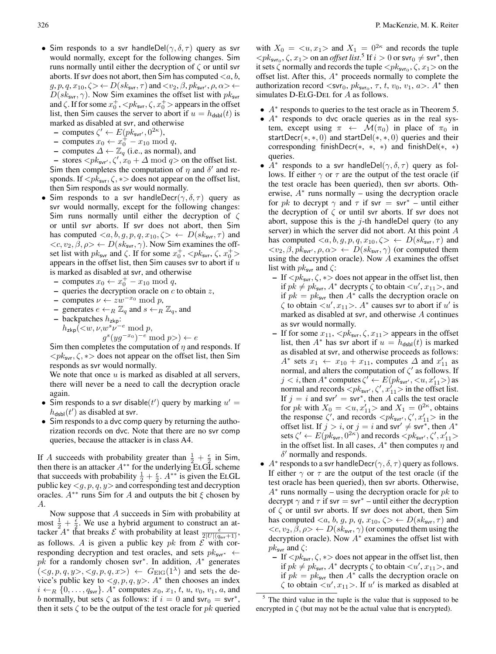- Sim responds to a svr handleDel( $\gamma$ ,  $\delta$ ,  $\tau$ ) query as svr would normally, except for the following changes. Sim runs normally until either the decryption of  $\zeta$  or until svr aborts. If svr does not abort, then Sim has computed  $,$  $g, p, q, x_{10}, \zeta \rangle \leftarrow D(\mathit{sk}_{\mathsf{svr}}, \tau)$  and  $\langle v_2, \beta, \mathit{pk}_{\mathsf{svr}'}, \rho, \alpha \rangle \leftarrow$  $D(s k<sub>svr</sub>, \gamma)$ . Now Sim examines the offset list with  $pk<sub>svr</sub>$ and  $\zeta$ . If for some  $x_0^+$ ,  $\langle pk_{\text{svr}}, \zeta, x_0^+>$  appears in the offset list, then Sim causes the server to abort if  $u = h_{dsbl}(t)$  is marked as disabled at svr, and otherwise
	- **–** computes  $\zeta' \leftarrow E(pk_{\text{svr}'}, 0^{2\kappa})$ ,
	- **−** computes  $x_0 \leftarrow x_0^+ x_{10} \mod q$ ,
	- **–** computes  $\overrightarrow{\Delta}$  ←  $\overrightarrow{\mathbb{Z}}_q$  (i.e., as normal), and

**–** stores  $\langle pk_{\text{svr}}^{\dagger}, \zeta', x_0 + \Delta \bmod q \rangle$  on the offset list. Sim then completes the computation of  $\eta$  and  $\delta'$  and responds. If  $\langle pk_{\text{svr}}, \zeta, * \rangle$  does not appear on the offset list, then Sim responds as svr would normally.

- Sim responds to a svr handleDecr( $\gamma$ ,  $\delta$ ,  $\tau$ ) query as svr would normally, except for the following changes: Sim runs normally until either the decryption of  $\zeta$ or until svr aborts. If svr does not abort, then Sim has computed  $\langle a, b, g, p, q, x_{10}, \zeta \rangle \leftarrow D(\mathit{sk}_{\mathsf{svr}}, \tau)$  and  $\langle c, v_2, \beta, \rho \rangle \leftarrow D(\mathit{sk}_{\mathsf{svr}}, \gamma)$ . Now Sim examines the offset list with  $pk_{\text{svr}}$  and  $\zeta$ . If for some  $x_0^+$ ,  $\langle pk_{\text{svr}}, \zeta, x_0^+$ appears in the offset list, then  $Sim$  causes svr to abort if  $u$ is marked as disabled at svr, and otherwise
	- **−** computes  $x_0 \leftarrow x_0^+ x_{10} \mod q$ ,
	- **–** queries the decryption oracle on c to obtain z,
	- **–** computes  $\nu \leftarrow zw^{-x_0} \mod p$ ,
	- **–** generates  $e \leftarrow_R \mathbb{Z}_q$  and  $s \leftarrow_R \mathbb{Z}_q$ , and
	- $-$  backpatches  $h_{\mathsf{zkp}}$ :
		- $h_{\mathsf{zkp}}(\langle w,\nu,w^s\nu^{-e}\bmod p,$

$$
g^s(yg^{-x_0})^{-e} \mod p \rangle \leftarrow e
$$

Sim then completes the computation of  $\eta$  and responds. If  $\langle pk_{\text{svr}}, \zeta, \star \rangle$  does not appear on the offset list, then Sim responds as svr would normally.

We note that once  $u$  is marked as disabled at all servers, there will never be a need to call the decryption oracle again.

- Sim responds to a svr disable( $t'$ ) query by marking  $u' =$  $h_{\text{dsb}}(t')$  as disabled at svr.
- Sim responds to a dvc comp query by returning the authorization records on dvc. Note that there are no svr comp queries, because the attacker is in class A4.

If A succeeds with probability greater than  $\frac{1}{2} + \frac{\epsilon}{2}$  in Sim, then there is an attacker  $A^{**}$  for the underlying ELGL scheme that succeeds with probability  $\frac{1}{2} + \frac{\epsilon}{2}$ .  $A^{**}$  is given the ELGL public key  $\langle g, p, q, y \rangle$  and corresponding test and decryption oracles.  $A^{**}$  runs Sim for A and outputs the bit  $\xi$  chosen by A.

Now suppose that A succeeds in Sim with probability at most  $\frac{1}{2} + \frac{\epsilon}{2}$ . We use a hybrid argument to construct an attacker  $A^*$  that breaks  $\mathcal E$  with probability at least  $\frac{\epsilon}{2|U|(q_{\text{sv}}+1)}$ , as follows. A is given a public key  $pk$  from  $\mathcal E$  with corresponding decryption and test oracles, and sets  $pk_{\text{svr}*}$  ←  $pk$  for a randomly chosen svr<sup>∗</sup>. In addition,  $A^*$  generates  $(, ) \leftarrow G_{\text{EIG}}(1^{\lambda})$  and sets the device's public key to  $\langle g, p, q, y \rangle$ . A<sup>\*</sup> then chooses an index  $i \leftarrow_R \{0,\ldots,q_{\text{svr}}\}\text{. } A^*$  computes  $x_0, x_1, t, u, v_0, v_1, a$ , and b normally, but sets  $\zeta$  as follows: if  $i = 0$  and svr<sub>0</sub> = svr<sup>\*</sup>, then it sets  $\zeta$  to be the output of the test oracle for pk queried

with  $X_0 = \langle u, x_1 \rangle$  and  $X_1 = 0^{2\kappa}$  and records the tuple  $\langle pk_{\text{svr}_0}, \zeta, x_1 \rangle$  on an *offset list*.<sup>5</sup> If  $i > 0$  or svr<sub>0</sub>  $\neq$  svr<sup>\*</sup>, then it sets  $\zeta$  normally and records the tuple  $\langle pk_{\text{svr}_0}, \zeta, x_1 \rangle$  on the offset list. After this, A<sup>∗</sup> proceeds normally to complete the authorization record  $\langle \text{svr}_0, \ p k_{\text{svr}_0}, \tau, t, v_0, v_1, a \rangle$ . A\* then simulates D-ELG-DEL for A as follows.

- $A^*$  responds to queries to the test oracle as in Theorem 5.
- A<sup>∗</sup> responds to dvc oracle queries as in the real system, except using  $\pi \leftarrow \mathcal{M}(\pi_0)$  in place of  $\pi_0$  in startDecr( $*,*,0$ ) and startDel( $*,*,0$ ) queries and their corresponding finishDecr(∗, ∗, ∗) and finishDel(∗, ∗) queries.
- $A^*$  responds to a svr handleDel( $\gamma$ ,  $\delta$ ,  $\tau$ ) query as follows. If either  $\gamma$  or  $\tau$  are the output of the test oracle (if the test oracle has been queried), then svr aborts. Otherwise,  $A^*$  runs normally – using the decryption oracle for pk to decrypt  $\gamma$  and  $\tau$  if svr = svr<sup>\*</sup> – until either the decryption of  $\zeta$  or until svr aborts. If svr does not abort, suppose this is the  $j$ -th handleDel query (to any server) in which the server did not abort. At this point A has computed  $\langle a, b, g, p, q, x_{10}, \zeta \rangle \leftarrow D(\mathit{sk}_{\mathsf{svr}}, \tau)$  and  $\langle v_2, \beta, pk_{\text{svr}}, \rho, \alpha \rangle \leftarrow D(sk_{\text{svr}}, \gamma)$  (or computed them using the decryption oracle). Now A examines the offset list with  $pk_{\text{svr}}$  and  $\zeta$ :
	- **−** If  $\langle pk_{\text{svr}}, \zeta, * \rangle$  does not appear in the offset list, then if  $pk \neq pk_{\text{svr}}$ ,  $A^*$  decrypts  $\zeta$  to obtain  $\langle u', x_{11} \rangle$ , and if  $pk = pk_{\text{svr}}$  then  $A^*$  calls the decryption oracle on  $\zeta$  to obtain  $\langle u', x_{11} \rangle$ . A<sup>\*</sup> causes svr to abort if  $u'$  is marked as disabled at svr, and otherwise A continues as svr would normally.
	- **–** If for some  $x_{11}$ ,  $\langle pk_{\text{svr}}, \zeta, x_{11} \rangle$  appears in the offset list, then  $A^*$  has svr abort if  $u = h_{\text{dsbl}}(t)$  is marked as disabled at svr, and otherwise proceeds as follows: A<sup>∗</sup> sets  $x_1 \leftarrow x_{10} + x_{11}$ , computes  $\Delta$  and  $x'_{11}$  as normal, and alters the computation of  $\zeta'$  as follows. If  $j < i$ , then  $A^*$  computes  $\zeta' \leftarrow E(pk_{\mathsf{svr}'}, \langle u, x'_{11} \rangle)$  as normal and records  $\langle pk_{\mathsf{svr}'}, \zeta', x'_{11}\rangle$  in the offset list. If  $j = i$  and svr' = svr<sup>\*</sup>, then A calls the test oracle for pk with  $X_0 = \langle u, x'_{11} \rangle$  and  $X_1 = 0^{2\kappa}$ , obtains the response  $\zeta'$ , and records  $\langle pk_{\text{svr}'}, \zeta', x'_{11} \rangle$  in the offset list. If  $j>i$ , or  $j=i$  and svr'  $\neq$  svr<sup>\*</sup>, then  $A^*$ sets  $\zeta' \leftarrow E(pk_{\text{svr}}, 0^{2\kappa})$  and records  $\langle pk_{\text{svr}}, \zeta', x'_{11} \rangle$ in the offset list. In all cases,  $A^*$  then computes  $\eta$  and  $\delta'$  normally and responds.
- $A^*$  responds to a svr handleDecr( $\gamma$ ,  $\delta$ ,  $\tau$ ) query as follows. If either  $\gamma$  or  $\tau$  are the output of the test oracle (if the test oracle has been queried), then svr aborts. Otherwise,  $A^*$  runs normally – using the decryption oracle for pk to decrypt  $\gamma$  and  $\tau$  if svr = svr<sup>\*</sup> – until either the decryption of  $\zeta$  or until svr aborts. If svr does not abort, then Sim has computed  $\langle a, b, g, p, q, x_{10}, \zeta \rangle \leftarrow D(\mathit{sk}_{\mathsf{svr}}, \tau)$  and  $\langle c, v_2, \beta, \rho \rangle \leftarrow D(sk_{\text{svr}}, \gamma$  (or computed them using the decryption oracle). Now  $A^*$  examines the offset list with  $pk_{\text{svr}}$  and  $\zeta$ :
	- **−** If  $\langle pk_{\text{svr}}, \zeta, * \rangle$  does not appear in the offset list, then if  $pk \neq pk_{\text{svr}}, A^*$  decrypts  $\zeta$  to obtain  $\langle u', x_{11} \rangle$ , and if  $pk = pk_{\text{svr}}$  then  $A^*$  calls the decryption oracle on  $\zeta$  to obtain  $\langle u', x_{11} \rangle$ . If  $u'$  is marked as disabled at

 $<sup>5</sup>$  The third value in the tuple is the value that is supposed to be</sup> encrypted in  $\zeta$  (but may not be the actual value that is encrypted).